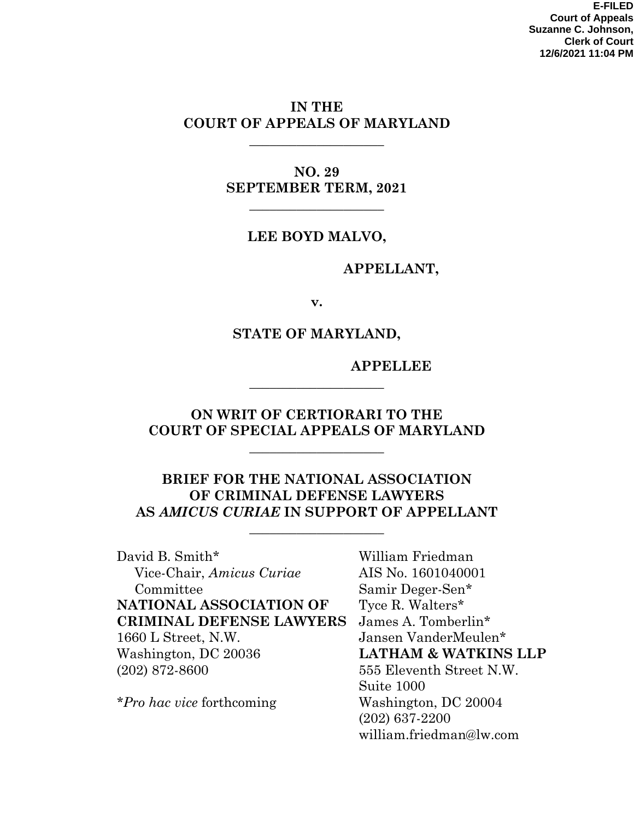**E-FILED Court of Appeals Suzanne C. Johnson, Clerk of Court 12/6/2021 11:04 PM**

### **IN THE COURT OF APPEALS OF MARYLAND**

**\_\_\_\_\_\_\_\_\_\_\_\_\_\_\_\_\_\_\_\_** 

**NO. 29 SEPTEMBER TERM, 2021** 

**\_\_\_\_\_\_\_\_\_\_\_\_\_\_\_\_\_\_\_\_** 

#### **LEE BOYD MALVO,**

#### **APPELLANT,**

**v.** 

#### **STATE OF MARYLAND,**

#### **APPELLEE**

### **ON WRIT OF CERTIORARI TO THE COURT OF SPECIAL APPEALS OF MARYLAND**

**\_\_\_\_\_\_\_\_\_\_\_\_\_\_\_\_\_\_\_\_** 

**\_\_\_\_\_\_\_\_\_\_\_\_\_\_\_\_\_\_\_\_** 

### **BRIEF FOR THE NATIONAL ASSOCIATION OF CRIMINAL DEFENSE LAWYERS AS** *AMICUS CURIAE* **IN SUPPORT OF APPELLANT**

**\_\_\_\_\_\_\_\_\_\_\_\_\_\_\_\_\_\_\_\_** 

David B. Smith\* Vice-Chair, *Amicus Curiae* Committee **NATIONAL ASSOCIATION OF CRIMINAL DEFENSE LAWYERS**  1660 L Street, N.W. Washington, DC 20036 (202) 872-8600

*\*Pro hac vice* forthcoming

William Friedman AIS No. 1601040001 Samir Deger-Sen\* Tyce R. Walters\* James A. Tomberlin\* Jansen VanderMeulen\* **LATHAM & WATKINS LLP**  555 Eleventh Street N.W. Suite 1000 Washington, DC 20004 (202) 637-2200 william.friedman@lw.com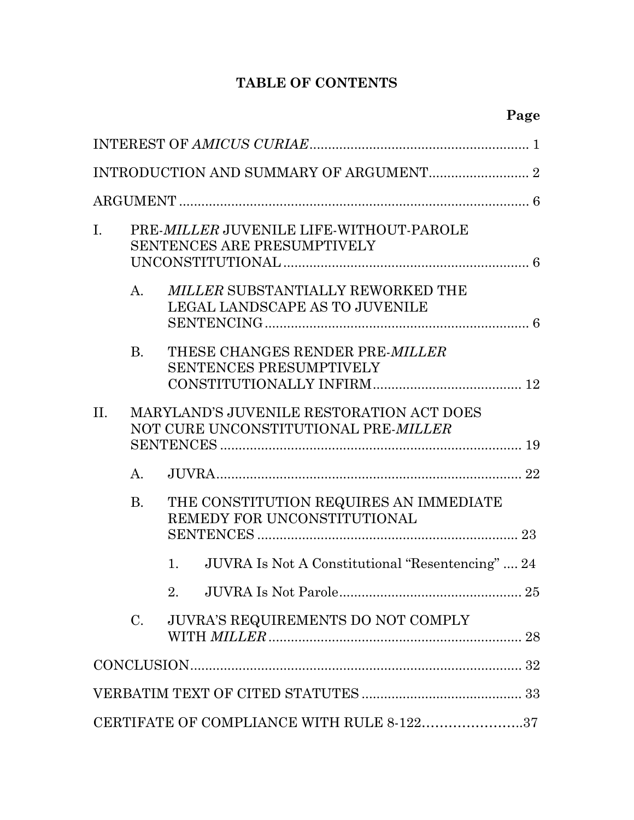# **TABLE OF CONTENTS**

| I.                                                                                      | PRE-MILLER JUVENILE LIFE-WITHOUT-PAROLE<br><b>SENTENCES ARE PRESUMPTIVELY</b> |                                                                       |  |  |
|-----------------------------------------------------------------------------------------|-------------------------------------------------------------------------------|-----------------------------------------------------------------------|--|--|
|                                                                                         | $\mathbf{A}$ .                                                                | MILLER SUBSTANTIALLY REWORKED THE<br>LEGAL LANDSCAPE AS TO JUVENILE   |  |  |
|                                                                                         | B <sub>r</sub>                                                                | THESE CHANGES RENDER PRE-MILLER<br><b>SENTENCES PRESUMPTIVELY</b>     |  |  |
| MARYLAND'S JUVENILE RESTORATION ACT DOES<br>II.<br>NOT CURE UNCONSTITUTIONAL PRE-MILLER |                                                                               |                                                                       |  |  |
|                                                                                         | $\mathbf{A}$ .                                                                |                                                                       |  |  |
|                                                                                         | <b>B.</b>                                                                     | THE CONSTITUTION REQUIRES AN IMMEDIATE<br>REMEDY FOR UNCONSTITUTIONAL |  |  |
|                                                                                         |                                                                               | JUVRA Is Not A Constitutional "Resentencing"  24<br>1.                |  |  |
|                                                                                         |                                                                               | JUVRA Is Not Parole.<br>25<br>2.                                      |  |  |
|                                                                                         | $C_{\cdot}$                                                                   | JUVRA'S REQUIREMENTS DO NOT COMPLY                                    |  |  |
|                                                                                         |                                                                               |                                                                       |  |  |
|                                                                                         |                                                                               |                                                                       |  |  |
|                                                                                         |                                                                               | CERTIFATE OF COMPLIANCE WITH RULE 8-12237                             |  |  |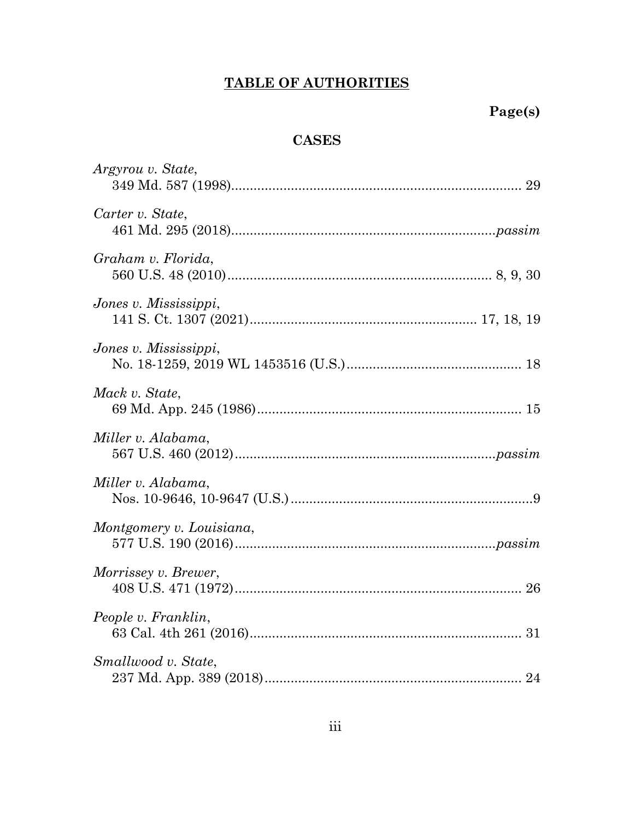# **TABLE OF AUTHORITIES**

# **CASES**

| Argyrou v. State,        |
|--------------------------|
| Carter v. State,         |
| Graham v. Florida,       |
| Jones v. Mississippi,    |
| Jones v. Mississippi,    |
| Mack v. State,           |
| Miller v. Alabama,       |
| Miller v. Alabama,       |
| Montgomery v. Louisiana, |
| Morrissey v. Brewer,     |
| People v. Franklin,      |
| Smallwood v. State,      |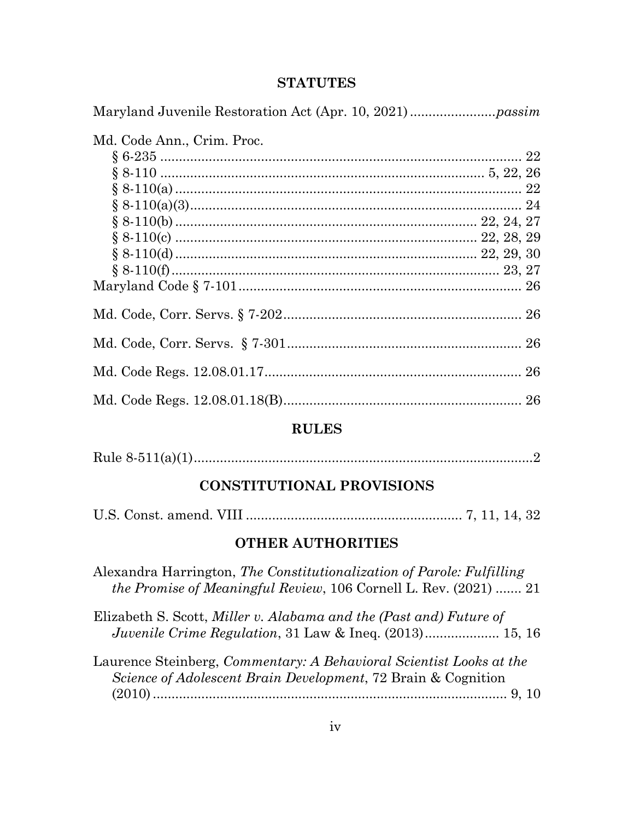#### **STATUTES**

Maryland Juvenile Restoration Act (Apr. 10, 2021) ....................... *passim*

Md. Code Ann., Crim. Proc. § 6-235 ................................................................................................. 22 § 8-110 ....................................................................................... 5, 22, 26 § 8-110(a) ............................................................................................. 22 § 8-110(a)(3) ......................................................................................... 24 § 8-110(b) ................................................................................. 22, 24, 27 § 8-110(c) ................................................................................. 22, 28, 29 § 8-110(d) ................................................................................. 22, 29, 30 § 8-110(f) ........................................................................................ 23, 27 Maryland Code § 7-101 ............................................................................ 26 Md. Code, Corr. Servs. § 7-202 ................................................................ 26 Md. Code, Corr. Servs. § 7-301 ............................................................... 26 Md. Code Regs. 12.08.01.17 ..................................................................... 26 Md. Code Regs. 12.08.01.18(B) ................................................................ 26

## **RULES**

|--|--|--|

# **CONSTITUTIONAL PROVISIONS**

|--|--|--|--|--|--|--|

#### **OTHER AUTHORITIES**

Alexandra Harrington, *The Constitutionalization of Parole: Fulfilling the Promise of Meaningful Review*, 106 Cornell L. Rev. (2021) ....... 21

Elizabeth S. Scott, *Miller v. Alabama and the (Past and) Future of Juvenile Crime Regulation*, 31 Law & Ineq. (2013) .................... 15, 16

Laurence Steinberg, *Commentary: A Behavioral Scientist Looks at the Science of Adolescent Brain Development*, 72 Brain & Cognition (2010) ............................................................................................... 9, 10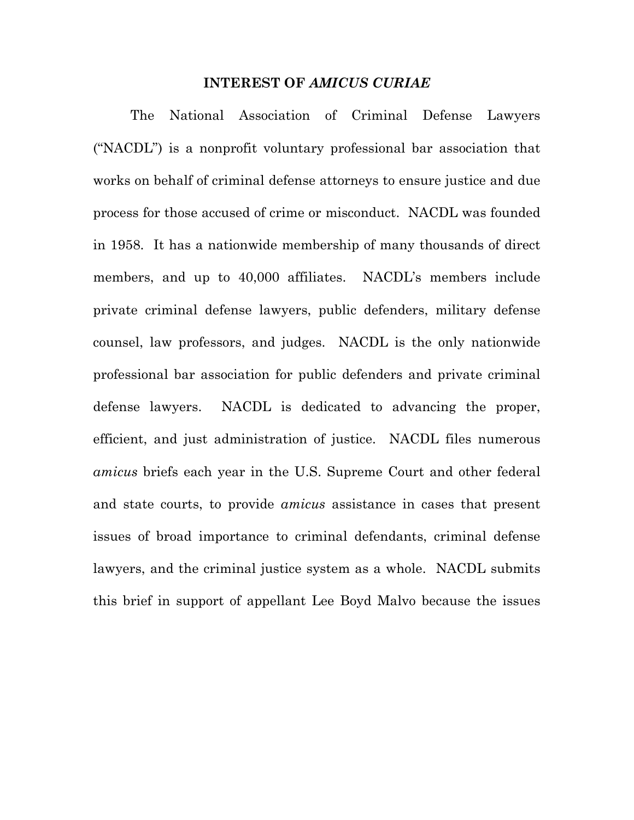#### **INTEREST OF** *AMICUS CURIAE*

The National Association of Criminal Defense Lawyers ("NACDL") is a nonprofit voluntary professional bar association that works on behalf of criminal defense attorneys to ensure justice and due process for those accused of crime or misconduct. NACDL was founded in 1958. It has a nationwide membership of many thousands of direct members, and up to 40,000 affiliates. NACDL's members include private criminal defense lawyers, public defenders, military defense counsel, law professors, and judges. NACDL is the only nationwide professional bar association for public defenders and private criminal defense lawyers. NACDL is dedicated to advancing the proper, efficient, and just administration of justice. NACDL files numerous *amicus* briefs each year in the U.S. Supreme Court and other federal and state courts, to provide *amicus* assistance in cases that present issues of broad importance to criminal defendants, criminal defense lawyers, and the criminal justice system as a whole. NACDL submits this brief in support of appellant Lee Boyd Malvo because the issues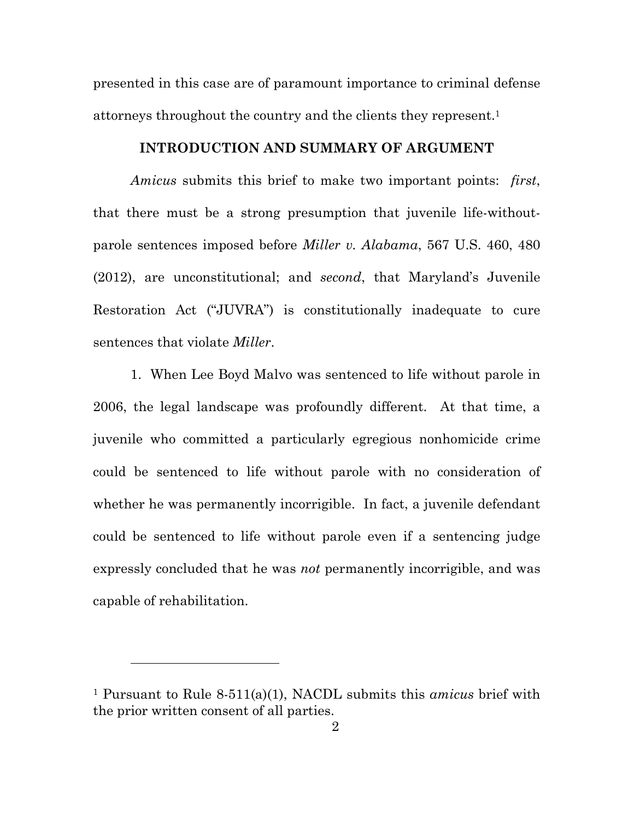presented in this case are of paramount importance to criminal defense attorneys throughout the country and the clients they represent.1

#### **INTRODUCTION AND SUMMARY OF ARGUMENT**

*Amicus* submits this brief to make two important points: *first*, that there must be a strong presumption that juvenile life-withoutparole sentences imposed before *Miller v. Alabama*, 567 U.S. 460, 480 (2012), are unconstitutional; and *second*, that Maryland's Juvenile Restoration Act ("JUVRA") is constitutionally inadequate to cure sentences that violate *Miller*.

1. When Lee Boyd Malvo was sentenced to life without parole in 2006, the legal landscape was profoundly different. At that time, a juvenile who committed a particularly egregious nonhomicide crime could be sentenced to life without parole with no consideration of whether he was permanently incorrigible. In fact, a juvenile defendant could be sentenced to life without parole even if a sentencing judge expressly concluded that he was *not* permanently incorrigible, and was capable of rehabilitation.

 $\overline{a}$ 

<sup>1</sup> Pursuant to Rule 8-511(a)(1), NACDL submits this *amicus* brief with the prior written consent of all parties.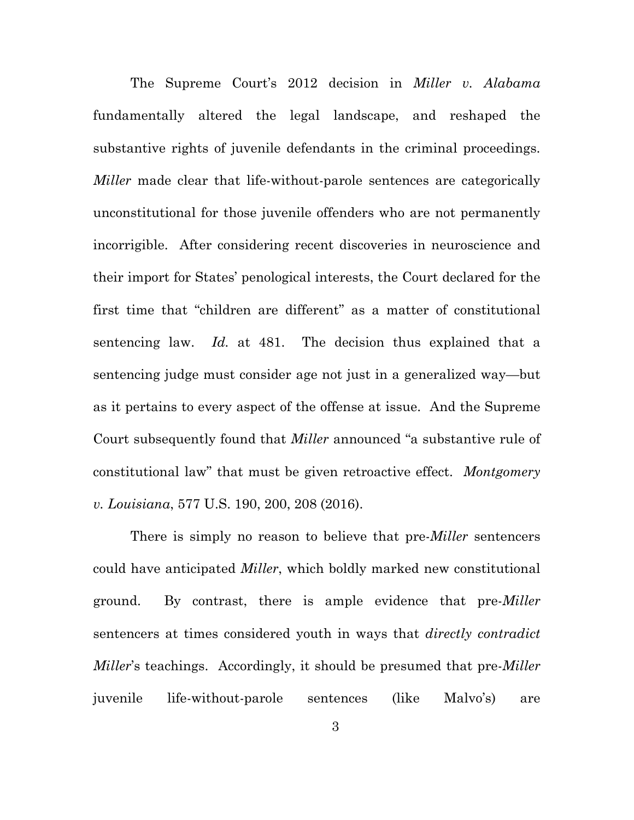The Supreme Court's 2012 decision in *Miller v. Alabama* fundamentally altered the legal landscape, and reshaped the substantive rights of juvenile defendants in the criminal proceedings. *Miller* made clear that life-without-parole sentences are categorically unconstitutional for those juvenile offenders who are not permanently incorrigible. After considering recent discoveries in neuroscience and their import for States' penological interests, the Court declared for the first time that "children are different" as a matter of constitutional sentencing law. *Id.* at 481. The decision thus explained that a sentencing judge must consider age not just in a generalized way—but as it pertains to every aspect of the offense at issue. And the Supreme Court subsequently found that *Miller* announced "a substantive rule of constitutional law" that must be given retroactive effect. *Montgomery v. Louisiana*, 577 U.S. 190, 200, 208 (2016).

There is simply no reason to believe that pre-*Miller* sentencers could have anticipated *Miller*, which boldly marked new constitutional ground. By contrast, there is ample evidence that pre-*Miller*  sentencers at times considered youth in ways that *directly contradict Miller*'s teachings. Accordingly, it should be presumed that pre-*Miller*  juvenile life-without-parole sentences (like Malvo's) are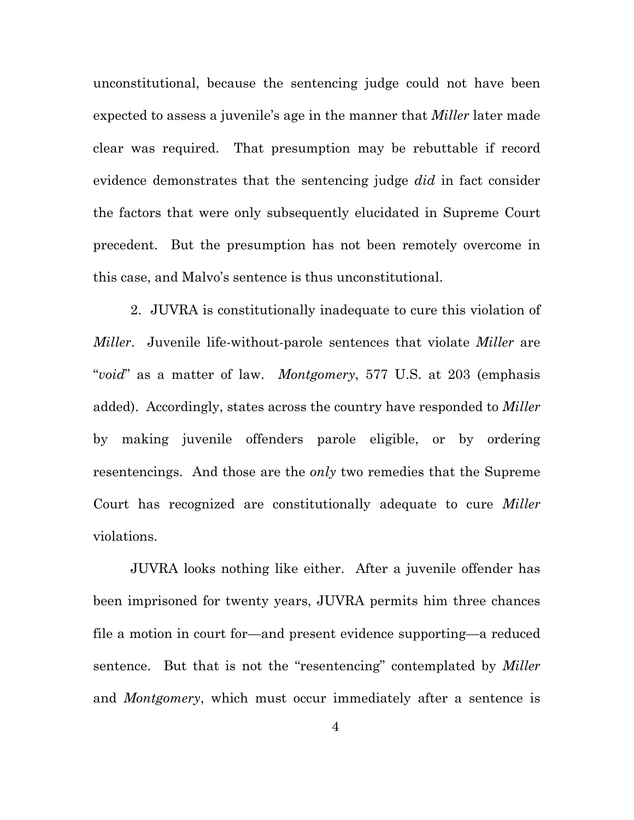unconstitutional, because the sentencing judge could not have been expected to assess a juvenile's age in the manner that *Miller* later made clear was required. That presumption may be rebuttable if record evidence demonstrates that the sentencing judge *did* in fact consider the factors that were only subsequently elucidated in Supreme Court precedent. But the presumption has not been remotely overcome in this case, and Malvo's sentence is thus unconstitutional.

2. JUVRA is constitutionally inadequate to cure this violation of *Miller*. Juvenile life-without-parole sentences that violate *Miller* are "*void*" as a matter of law. *Montgomery*, 577 U.S. at 203 (emphasis added). Accordingly, states across the country have responded to *Miller*  by making juvenile offenders parole eligible, or by ordering resentencings. And those are the *only* two remedies that the Supreme Court has recognized are constitutionally adequate to cure *Miller*  violations.

JUVRA looks nothing like either. After a juvenile offender has been imprisoned for twenty years, JUVRA permits him three chances file a motion in court for—and present evidence supporting—a reduced sentence. But that is not the "resentencing" contemplated by *Miller*  and *Montgomery*, which must occur immediately after a sentence is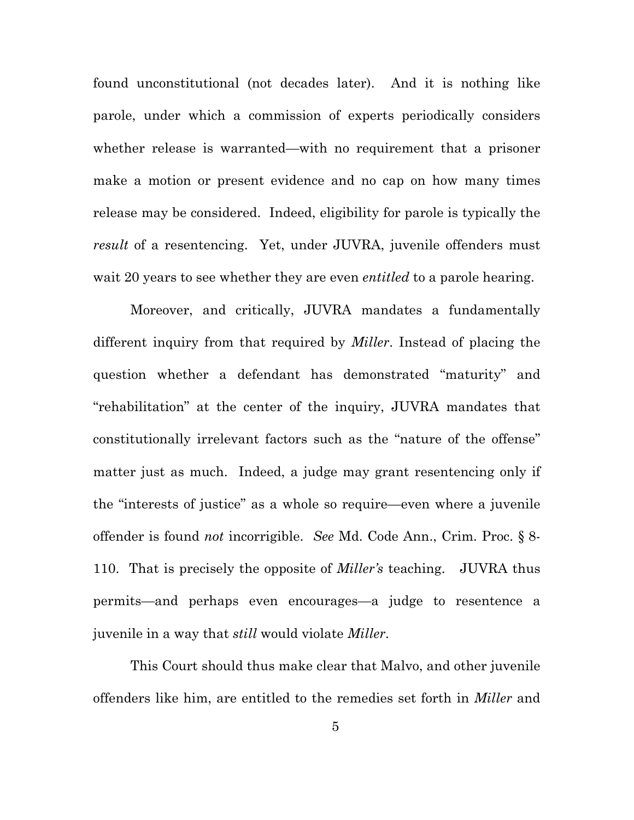found unconstitutional (not decades later). And it is nothing like parole, under which a commission of experts periodically considers whether release is warranted—with no requirement that a prisoner make a motion or present evidence and no cap on how many times release may be considered. Indeed, eligibility for parole is typically the *result* of a resentencing. Yet, under JUVRA, juvenile offenders must wait 20 years to see whether they are even *entitled* to a parole hearing.

Moreover, and critically, JUVRA mandates a fundamentally different inquiry from that required by *Miller*. Instead of placing the question whether a defendant has demonstrated "maturity" and "rehabilitation" at the center of the inquiry, JUVRA mandates that constitutionally irrelevant factors such as the "nature of the offense" matter just as much. Indeed, a judge may grant resentencing only if the "interests of justice" as a whole so require—even where a juvenile offender is found *not* incorrigible. *See* Md. Code Ann., Crim. Proc. § 8- 110. That is precisely the opposite of *Miller's* teaching. JUVRA thus permits—and perhaps even encourages—a judge to resentence a juvenile in a way that *still* would violate *Miller*.

This Court should thus make clear that Malvo, and other juvenile offenders like him, are entitled to the remedies set forth in *Miller* and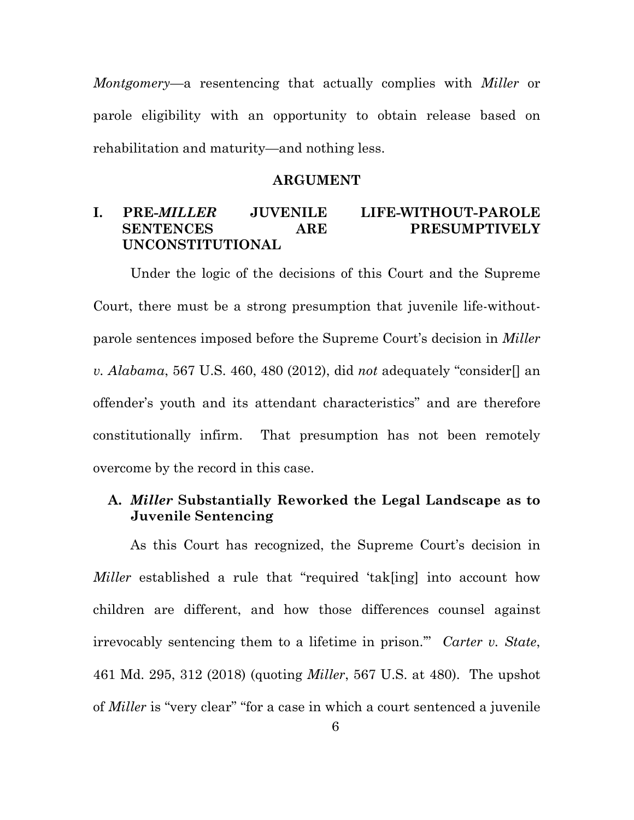*Montgomery*—a resentencing that actually complies with *Miller* or parole eligibility with an opportunity to obtain release based on rehabilitation and maturity—and nothing less.

#### **ARGUMENT**

## **I. PRE-***MILLER* **JUVENILE LIFE-WITHOUT-PAROLE SENTENCES ARE PRESUMPTIVELY UNCONSTITUTIONAL**

Under the logic of the decisions of this Court and the Supreme Court, there must be a strong presumption that juvenile life-withoutparole sentences imposed before the Supreme Court's decision in *Miller v. Alabama*, 567 U.S. 460, 480 (2012), did *not* adequately "consider[] an offender's youth and its attendant characteristics" and are therefore constitutionally infirm. That presumption has not been remotely overcome by the record in this case.

### **A.** *Miller* **Substantially Reworked the Legal Landscape as to Juvenile Sentencing**

As this Court has recognized, the Supreme Court's decision in *Miller* established a rule that "required 'tak[ing] into account how children are different, and how those differences counsel against irrevocably sentencing them to a lifetime in prison.'" *Carter v. State*, 461 Md. 295, 312 (2018) (quoting *Miller*, 567 U.S. at 480). The upshot of *Miller* is "very clear" "for a case in which a court sentenced a juvenile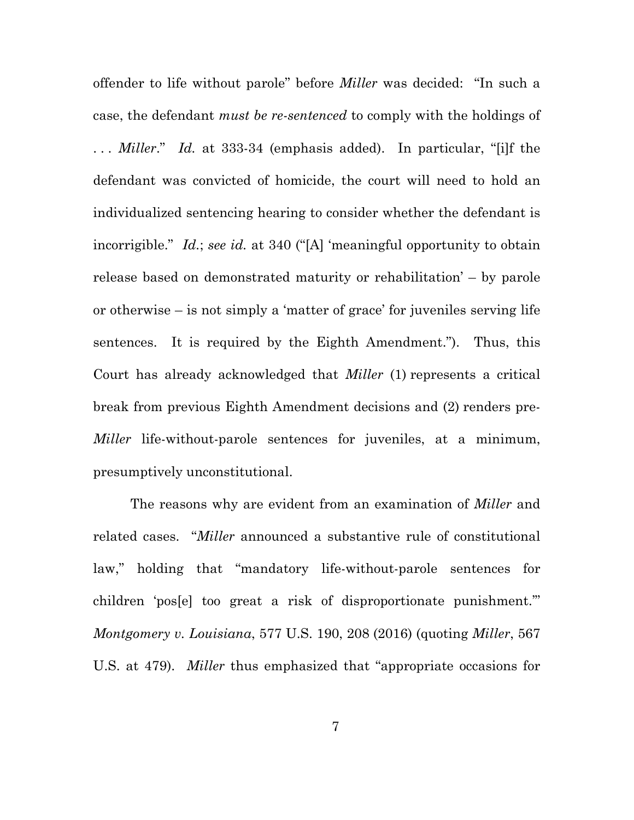offender to life without parole" before *Miller* was decided: "In such a case, the defendant *must be re-sentenced* to comply with the holdings of . . . *Miller*." *Id.* at 333-34 (emphasis added). In particular, "[i]f the defendant was convicted of homicide, the court will need to hold an individualized sentencing hearing to consider whether the defendant is incorrigible." *Id.*; *see id.* at 340 ("[A] 'meaningful opportunity to obtain release based on demonstrated maturity or rehabilitation' – by parole or otherwise – is not simply a 'matter of grace' for juveniles serving life sentences. It is required by the Eighth Amendment."). Thus, this Court has already acknowledged that *Miller* (1) represents a critical break from previous Eighth Amendment decisions and (2) renders pre-*Miller* life-without-parole sentences for juveniles, at a minimum, presumptively unconstitutional.

The reasons why are evident from an examination of *Miller* and related cases. "*Miller* announced a substantive rule of constitutional law," holding that "mandatory life-without-parole sentences for children 'pos[e] too great a risk of disproportionate punishment.'" *Montgomery v. Louisiana*, 577 U.S. 190, 208 (2016) (quoting *Miller*, 567 U.S. at 479). *Miller* thus emphasized that "appropriate occasions for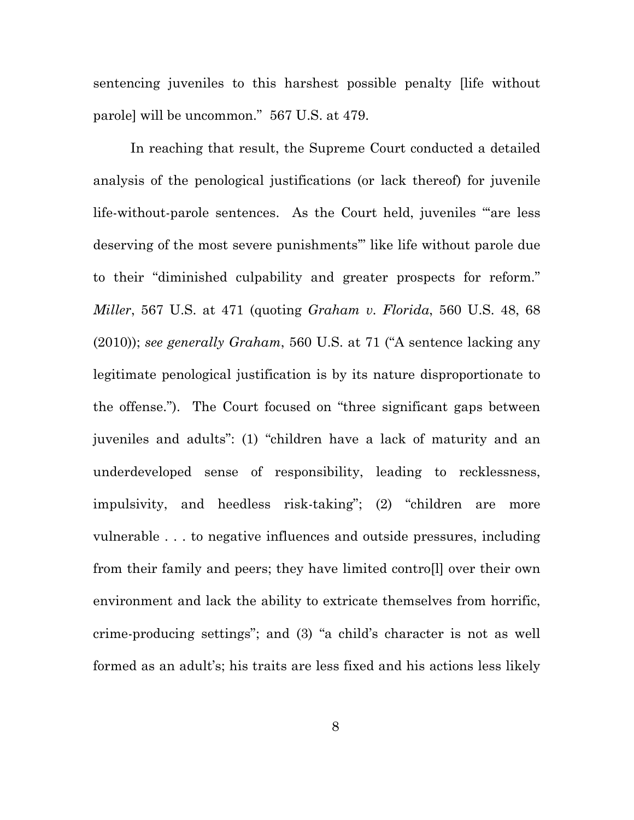sentencing juveniles to this harshest possible penalty [life without parole] will be uncommon." 567 U.S. at 479.

In reaching that result, the Supreme Court conducted a detailed analysis of the penological justifications (or lack thereof) for juvenile life-without-parole sentences. As the Court held, juveniles "'are less deserving of the most severe punishments'" like life without parole due to their "diminished culpability and greater prospects for reform." *Miller*, 567 U.S. at 471 (quoting *Graham v. Florida*, 560 U.S. 48, 68 (2010)); *see generally Graham*, 560 U.S. at 71 ("A sentence lacking any legitimate penological justification is by its nature disproportionate to the offense."). The Court focused on "three significant gaps between juveniles and adults": (1) "children have a lack of maturity and an underdeveloped sense of responsibility, leading to recklessness, impulsivity, and heedless risk-taking"; (2) "children are more vulnerable . . . to negative influences and outside pressures, including from their family and peers; they have limited contro[l] over their own environment and lack the ability to extricate themselves from horrific, crime-producing settings"; and (3) "a child's character is not as well formed as an adult's; his traits are less fixed and his actions less likely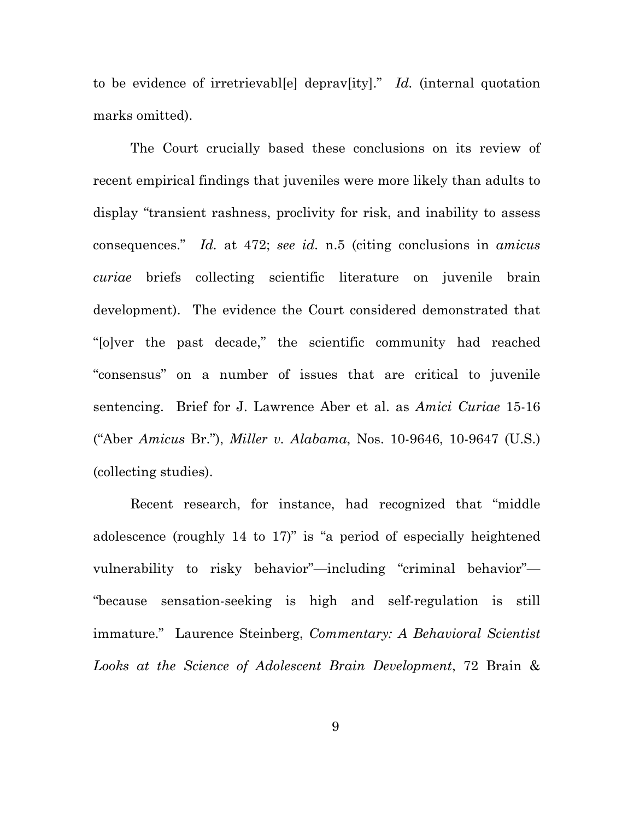to be evidence of irretrievabl[e] deprav[ity]." *Id.* (internal quotation marks omitted).

The Court crucially based these conclusions on its review of recent empirical findings that juveniles were more likely than adults to display "transient rashness, proclivity for risk, and inability to assess consequences." *Id.* at 472; *see id.* n.5 (citing conclusions in *amicus curiae* briefs collecting scientific literature on juvenile brain development). The evidence the Court considered demonstrated that "[o]ver the past decade," the scientific community had reached "consensus" on a number of issues that are critical to juvenile sentencing. Brief for J. Lawrence Aber et al. as *Amici Curiae* 15-16 ("Aber *Amicus* Br."), *Miller v. Alabama*, Nos. 10-9646, 10-9647 (U.S.) (collecting studies).

Recent research, for instance, had recognized that "middle adolescence (roughly 14 to 17)" is "a period of especially heightened vulnerability to risky behavior"—including "criminal behavior"— "because sensation-seeking is high and self-regulation is still immature." Laurence Steinberg, *Commentary: A Behavioral Scientist Looks at the Science of Adolescent Brain Development*, 72 Brain &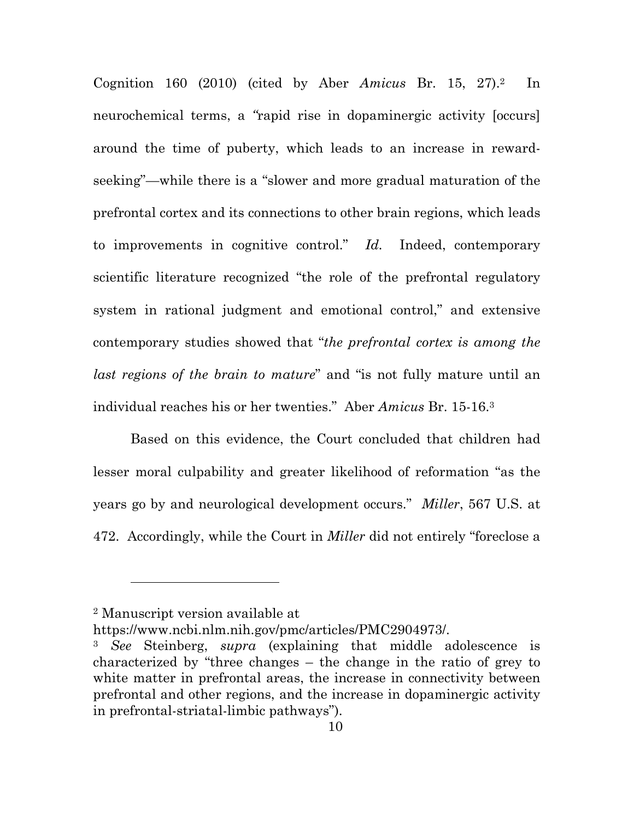Cognition 160 (2010) (cited by Aber *Amicus* Br. 15, 27).2 In neurochemical terms, a *"*rapid rise in dopaminergic activity [occurs] around the time of puberty, which leads to an increase in rewardseeking"—while there is a "slower and more gradual maturation of the prefrontal cortex and its connections to other brain regions, which leads to improvements in cognitive control." *Id.* Indeed, contemporary scientific literature recognized "the role of the prefrontal regulatory system in rational judgment and emotional control," and extensive contemporary studies showed that "*the prefrontal cortex is among the last regions of the brain to mature*" and "is not fully mature until an individual reaches his or her twenties." Aber *Amicus* Br. 15-16.3

Based on this evidence, the Court concluded that children had lesser moral culpability and greater likelihood of reformation "as the years go by and neurological development occurs." *Miller*, 567 U.S. at 472. Accordingly, while the Court in *Miller* did not entirely "foreclose a

l

<sup>2</sup> Manuscript version available at

https://www.ncbi.nlm.nih.gov/pmc/articles/PMC2904973/.

<sup>3</sup> *See* Steinberg, *supra* (explaining that middle adolescence is characterized by "three changes – the change in the ratio of grey to white matter in prefrontal areas, the increase in connectivity between prefrontal and other regions, and the increase in dopaminergic activity in prefrontal-striatal-limbic pathways").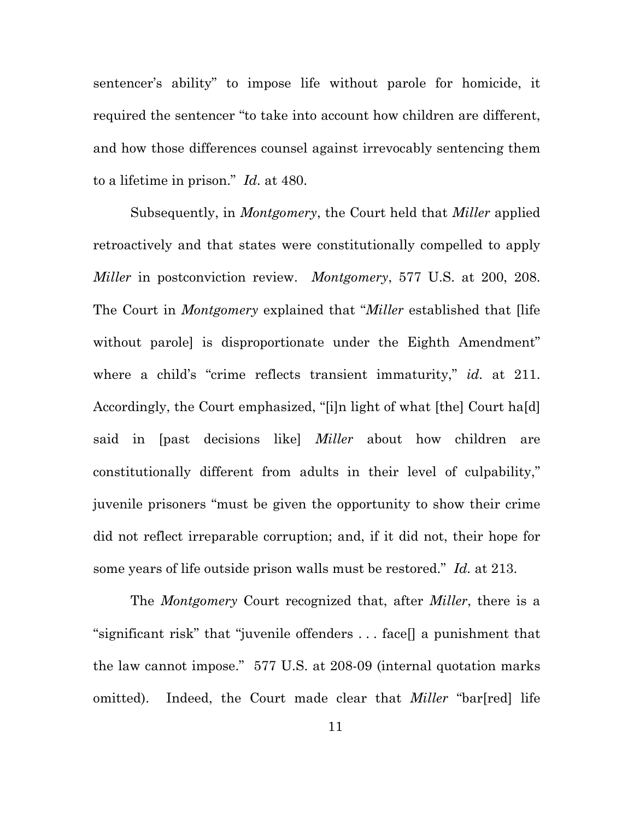sentencer's ability" to impose life without parole for homicide, it required the sentencer "to take into account how children are different, and how those differences counsel against irrevocably sentencing them to a lifetime in prison." *Id.* at 480.

Subsequently, in *Montgomery*, the Court held that *Miller* applied retroactively and that states were constitutionally compelled to apply *Miller* in postconviction review. *Montgomery*, 577 U.S. at 200, 208. The Court in *Montgomery* explained that "*Miller* established that [life without parole is disproportionate under the Eighth Amendment" where a child's "crime reflects transient immaturity," *id.* at 211. Accordingly, the Court emphasized, "[i]n light of what [the] Court ha[d] said in [past decisions like] *Miller* about how children are constitutionally different from adults in their level of culpability," juvenile prisoners "must be given the opportunity to show their crime did not reflect irreparable corruption; and, if it did not, their hope for some years of life outside prison walls must be restored." *Id.* at 213.

The *Montgomery* Court recognized that, after *Miller*, there is a "significant risk" that "juvenile offenders . . . face[] a punishment that the law cannot impose." 577 U.S. at 208-09 (internal quotation marks omitted). Indeed, the Court made clear that *Miller* "bar[red] life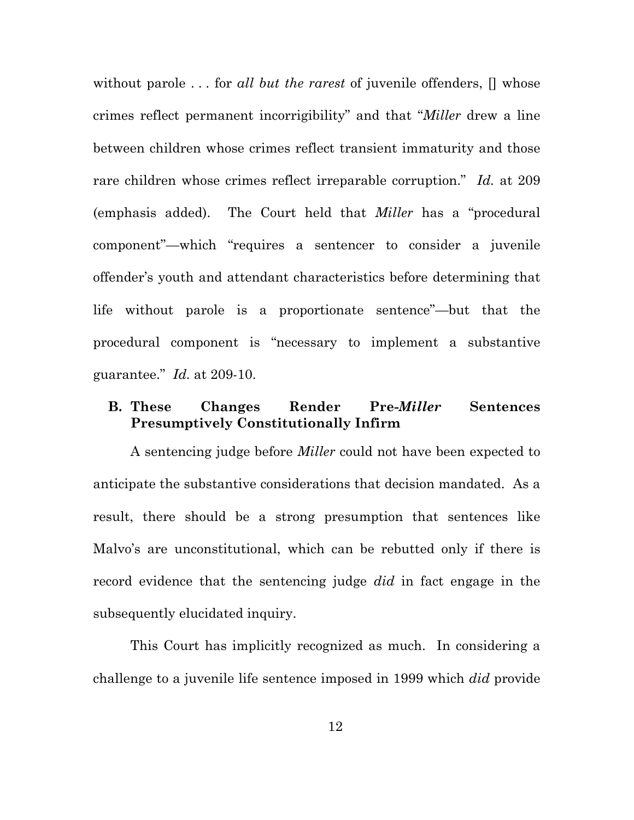without parole . . . for *all but the rarest* of juvenile offenders, [] whose crimes reflect permanent incorrigibility" and that "*Miller* drew a line between children whose crimes reflect transient immaturity and those rare children whose crimes reflect irreparable corruption." *Id.* at 209 (emphasis added). The Court held that *Miller* has a "procedural component"—which "requires a sentencer to consider a juvenile offender's youth and attendant characteristics before determining that life without parole is a proportionate sentence"—but that the procedural component is "necessary to implement a substantive guarantee." *Id.* at 209-10.

## **B. These Changes Render Pre-***Miller* **Sentences Presumptively Constitutionally Infirm**

A sentencing judge before *Miller* could not have been expected to anticipate the substantive considerations that decision mandated. As a result, there should be a strong presumption that sentences like Malvo's are unconstitutional, which can be rebutted only if there is record evidence that the sentencing judge *did* in fact engage in the subsequently elucidated inquiry.

This Court has implicitly recognized as much. In considering a challenge to a juvenile life sentence imposed in 1999 which *did* provide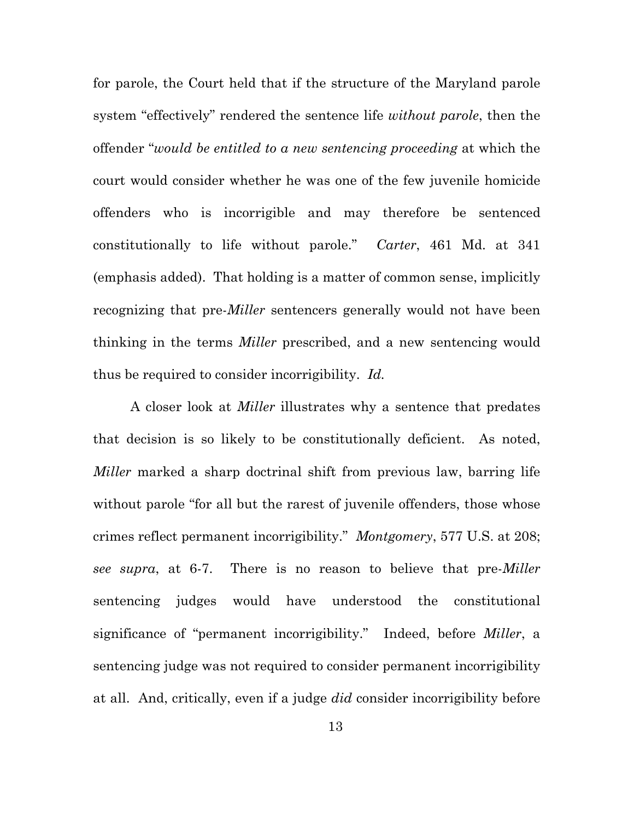for parole, the Court held that if the structure of the Maryland parole system "effectively" rendered the sentence life *without parole*, then the offender "*would be entitled to a new sentencing proceeding* at which the court would consider whether he was one of the few juvenile homicide offenders who is incorrigible and may therefore be sentenced constitutionally to life without parole." *Carter*, 461 Md. at 341 (emphasis added). That holding is a matter of common sense, implicitly recognizing that pre-*Miller* sentencers generally would not have been thinking in the terms *Miller* prescribed, and a new sentencing would thus be required to consider incorrigibility. *Id.* 

A closer look at *Miller* illustrates why a sentence that predates that decision is so likely to be constitutionally deficient. As noted, *Miller* marked a sharp doctrinal shift from previous law, barring life without parole "for all but the rarest of juvenile offenders, those whose crimes reflect permanent incorrigibility." *Montgomery*, 577 U.S. at 208; *see supra*, at 6-7. There is no reason to believe that pre-*Miller*  sentencing judges would have understood the constitutional significance of "permanent incorrigibility." Indeed, before *Miller*, a sentencing judge was not required to consider permanent incorrigibility at all. And, critically, even if a judge *did* consider incorrigibility before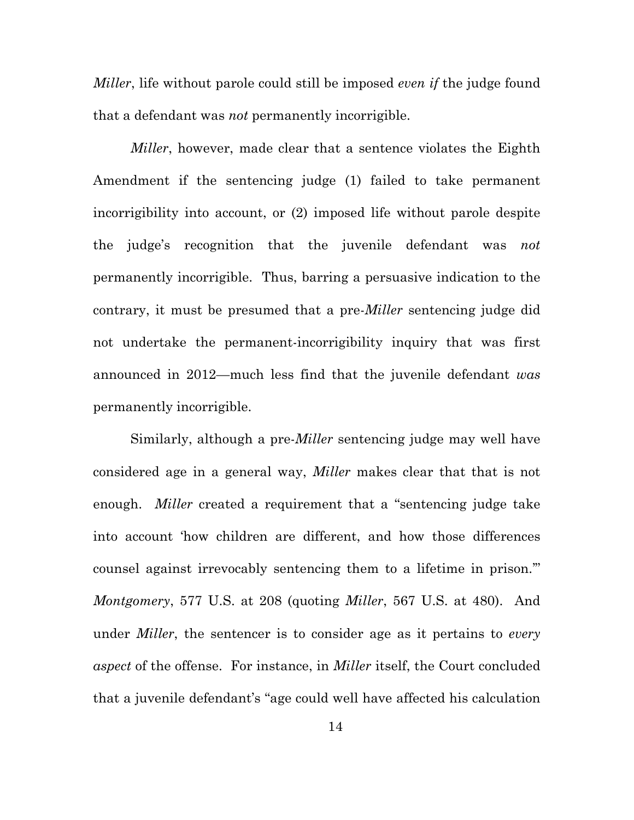*Miller*, life without parole could still be imposed *even if* the judge found that a defendant was *not* permanently incorrigible.

*Miller*, however, made clear that a sentence violates the Eighth Amendment if the sentencing judge (1) failed to take permanent incorrigibility into account, or (2) imposed life without parole despite the judge's recognition that the juvenile defendant was *not*  permanently incorrigible. Thus, barring a persuasive indication to the contrary, it must be presumed that a pre-*Miller* sentencing judge did not undertake the permanent-incorrigibility inquiry that was first announced in 2012—much less find that the juvenile defendant *was*  permanently incorrigible.

Similarly, although a pre-*Miller* sentencing judge may well have considered age in a general way, *Miller* makes clear that that is not enough. *Miller* created a requirement that a "sentencing judge take into account 'how children are different, and how those differences counsel against irrevocably sentencing them to a lifetime in prison.'" *Montgomery*, 577 U.S. at 208 (quoting *Miller*, 567 U.S. at 480). And under *Miller*, the sentencer is to consider age as it pertains to *every aspect* of the offense. For instance, in *Miller* itself, the Court concluded that a juvenile defendant's "age could well have affected his calculation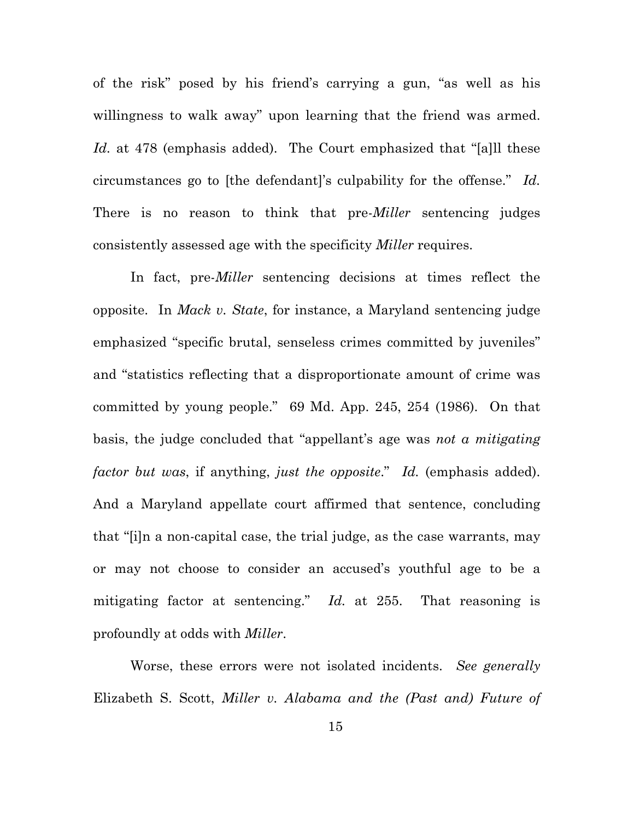of the risk" posed by his friend's carrying a gun, "as well as his willingness to walk away" upon learning that the friend was armed. *Id.* at 478 (emphasis added). The Court emphasized that "[a]ll these circumstances go to [the defendant]'s culpability for the offense." *Id.*  There is no reason to think that pre-*Miller* sentencing judges consistently assessed age with the specificity *Miller* requires.

In fact, pre-*Miller* sentencing decisions at times reflect the opposite. In *Mack v. State*, for instance, a Maryland sentencing judge emphasized "specific brutal, senseless crimes committed by juveniles" and "statistics reflecting that a disproportionate amount of crime was committed by young people." 69 Md. App. 245, 254 (1986). On that basis, the judge concluded that "appellant's age was *not a mitigating factor but was*, if anything, *just the opposite*." *Id.* (emphasis added). And a Maryland appellate court affirmed that sentence, concluding that "[i]n a non-capital case, the trial judge, as the case warrants, may or may not choose to consider an accused's youthful age to be a mitigating factor at sentencing." *Id.* at 255. That reasoning is profoundly at odds with *Miller*.

Worse, these errors were not isolated incidents. *See generally*  Elizabeth S. Scott, *Miller v. Alabama and the (Past and) Future of*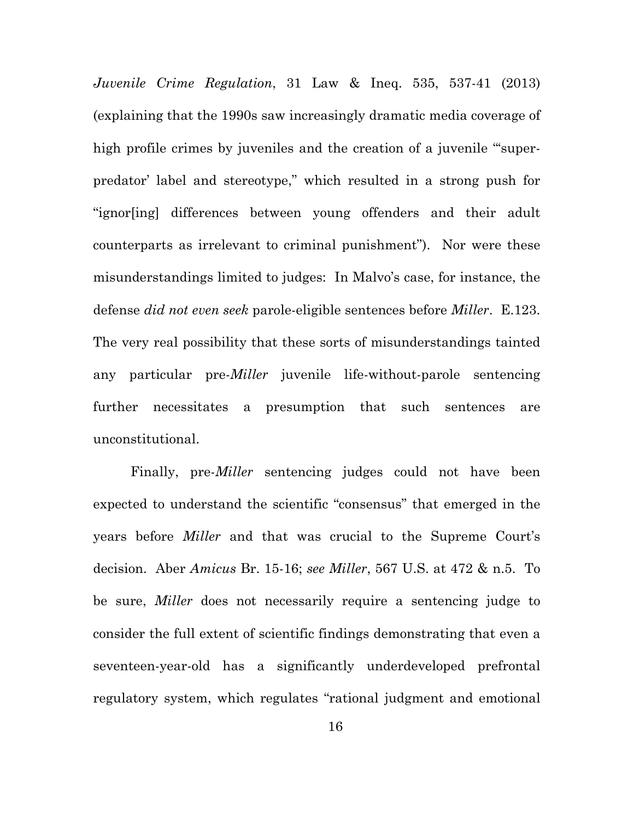*Juvenile Crime Regulation*, 31 Law & Ineq. 535, 537-41 (2013) (explaining that the 1990s saw increasingly dramatic media coverage of high profile crimes by juveniles and the creation of a juvenile "superpredator' label and stereotype," which resulted in a strong push for "ignor[ing] differences between young offenders and their adult counterparts as irrelevant to criminal punishment"). Nor were these misunderstandings limited to judges: In Malvo's case, for instance, the defense *did not even seek* parole-eligible sentences before *Miller*. E.123. The very real possibility that these sorts of misunderstandings tainted any particular pre-*Miller* juvenile life-without-parole sentencing further necessitates a presumption that such sentences are unconstitutional.

Finally, pre-*Miller* sentencing judges could not have been expected to understand the scientific "consensus" that emerged in the years before *Miller* and that was crucial to the Supreme Court's decision. Aber *Amicus* Br. 15-16; *see Miller*, 567 U.S. at 472 & n.5. To be sure, *Miller* does not necessarily require a sentencing judge to consider the full extent of scientific findings demonstrating that even a seventeen-year-old has a significantly underdeveloped prefrontal regulatory system, which regulates "rational judgment and emotional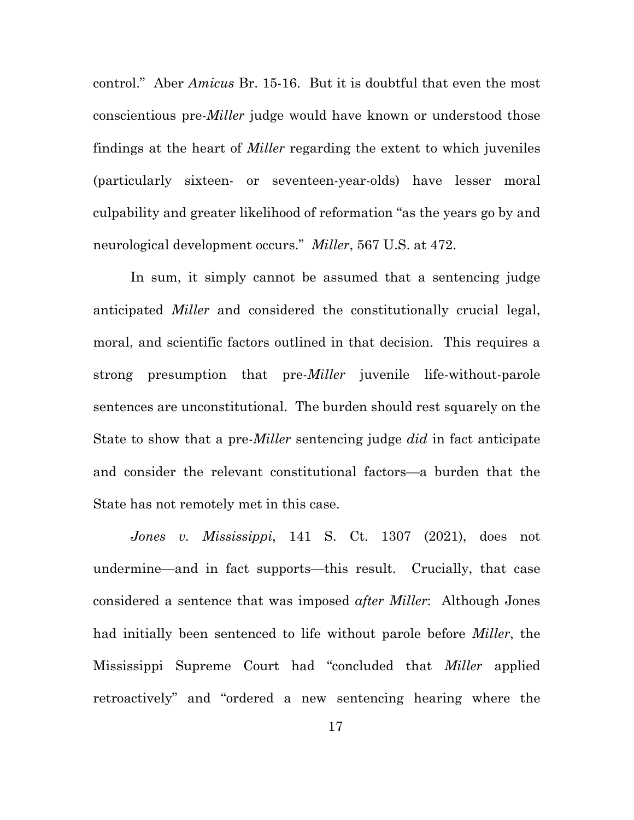control." Aber *Amicus* Br. 15-16. But it is doubtful that even the most conscientious pre-*Miller* judge would have known or understood those findings at the heart of *Miller* regarding the extent to which juveniles (particularly sixteen- or seventeen-year-olds) have lesser moral culpability and greater likelihood of reformation "as the years go by and neurological development occurs." *Miller*, 567 U.S. at 472.

In sum, it simply cannot be assumed that a sentencing judge anticipated *Miller* and considered the constitutionally crucial legal, moral, and scientific factors outlined in that decision.This requires a strong presumption that pre-*Miller* juvenile life-without-parole sentences are unconstitutional. The burden should rest squarely on the State to show that a pre-*Miller* sentencing judge *did* in fact anticipate and consider the relevant constitutional factors—a burden that the State has not remotely met in this case.

*Jones v. Mississippi*, 141 S. Ct. 1307 (2021), does not undermine—and in fact supports—this result. Crucially, that case considered a sentence that was imposed *after Miller*: Although Jones had initially been sentenced to life without parole before *Miller*, the Mississippi Supreme Court had "concluded that *Miller* applied retroactively" and "ordered a new sentencing hearing where the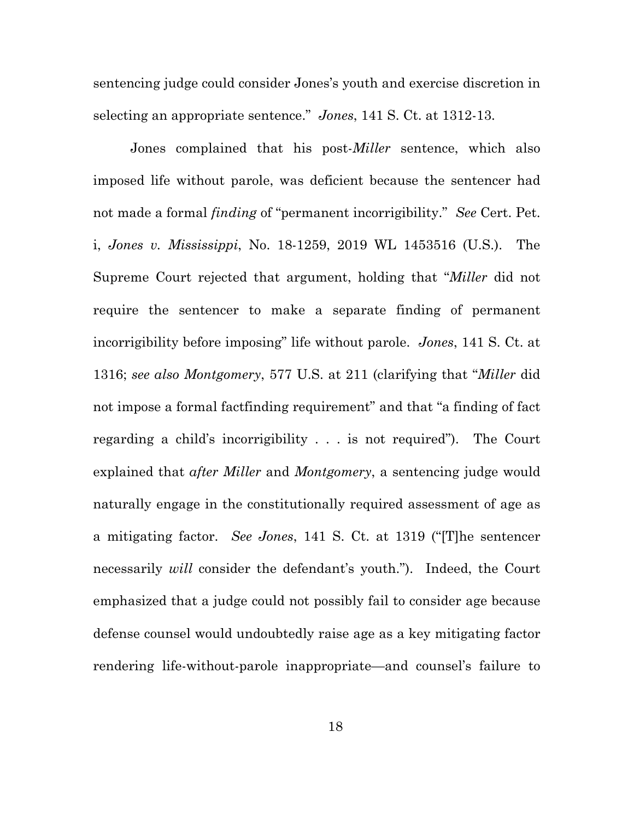sentencing judge could consider Jones's youth and exercise discretion in selecting an appropriate sentence." *Jones*, 141 S. Ct. at 1312-13.

Jones complained that his post-*Miller* sentence, which also imposed life without parole, was deficient because the sentencer had not made a formal *finding* of "permanent incorrigibility." *See* Cert. Pet. i, *Jones v. Mississippi*, No. 18-1259, 2019 WL 1453516 (U.S.). The Supreme Court rejected that argument, holding that "*Miller* did not require the sentencer to make a separate finding of permanent incorrigibility before imposing" life without parole. *Jones*, 141 S. Ct. at 1316; *see also Montgomery*, 577 U.S. at 211 (clarifying that "*Miller* did not impose a formal factfinding requirement" and that "a finding of fact regarding a child's incorrigibility . . . is not required"). The Court explained that *after Miller* and *Montgomery*, a sentencing judge would naturally engage in the constitutionally required assessment of age as a mitigating factor. *See Jones*, 141 S. Ct. at 1319 ("[T]he sentencer necessarily *will* consider the defendant's youth."). Indeed, the Court emphasized that a judge could not possibly fail to consider age because defense counsel would undoubtedly raise age as a key mitigating factor rendering life-without-parole inappropriate—and counsel's failure to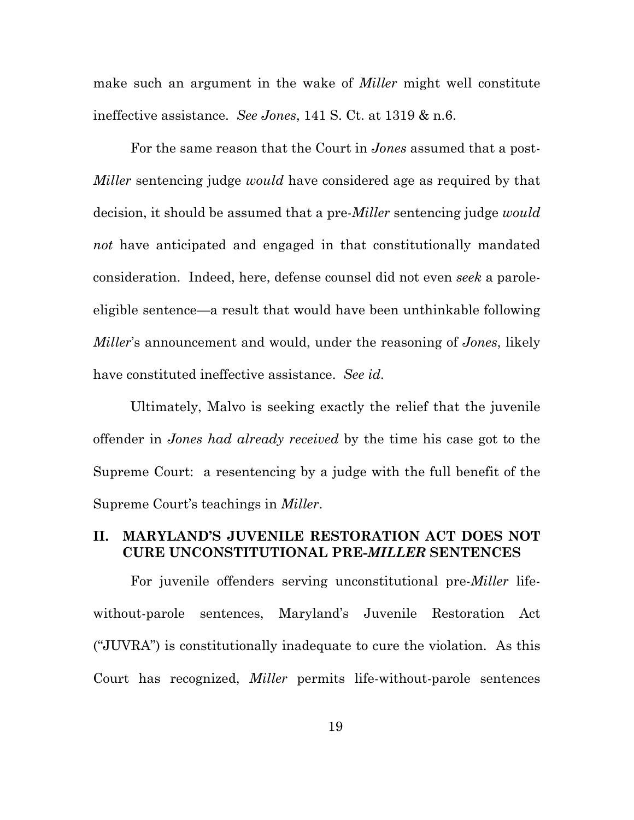make such an argument in the wake of *Miller* might well constitute ineffective assistance. *See Jones*, 141 S. Ct. at 1319 & n.6.

For the same reason that the Court in *Jones* assumed that a post-*Miller* sentencing judge *would* have considered age as required by that decision, it should be assumed that a pre-*Miller* sentencing judge *would not* have anticipated and engaged in that constitutionally mandated consideration. Indeed, here, defense counsel did not even *seek* a paroleeligible sentence—a result that would have been unthinkable following *Miller*'s announcement and would, under the reasoning of *Jones*, likely have constituted ineffective assistance. *See id.* 

Ultimately, Malvo is seeking exactly the relief that the juvenile offender in *Jones had already received* by the time his case got to the Supreme Court: a resentencing by a judge with the full benefit of the Supreme Court's teachings in *Miller*.

### **II. MARYLAND'S JUVENILE RESTORATION ACT DOES NOT CURE UNCONSTITUTIONAL PRE-***MILLER* **SENTENCES**

For juvenile offenders serving unconstitutional pre-*Miller* lifewithout-parole sentences, Maryland's Juvenile Restoration Act ("JUVRA") is constitutionally inadequate to cure the violation. As this Court has recognized, *Miller* permits life-without-parole sentences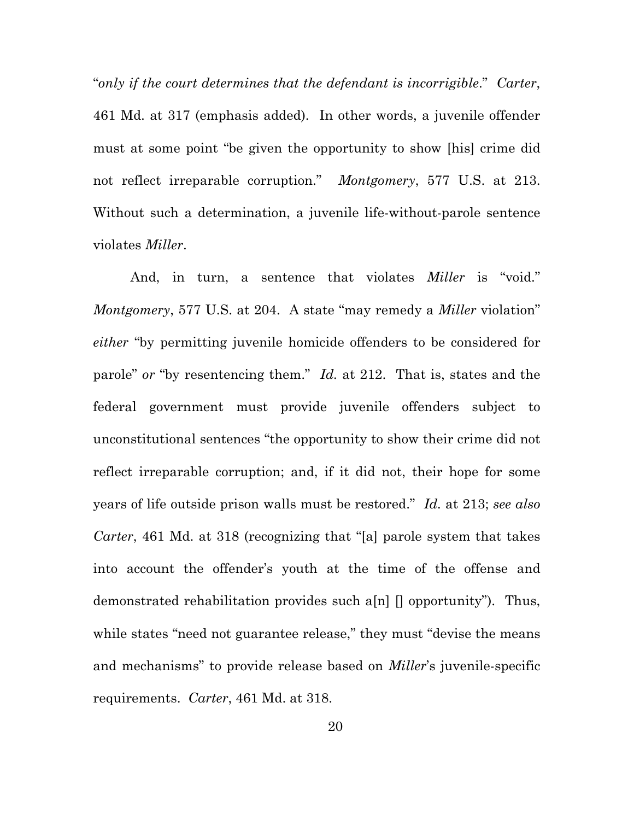"*only if the court determines that the defendant is incorrigible*." *Carter*, 461 Md. at 317 (emphasis added). In other words, a juvenile offender must at some point "be given the opportunity to show [his] crime did not reflect irreparable corruption." *Montgomery*, 577 U.S. at 213. Without such a determination, a juvenile life-without-parole sentence violates *Miller*.

And, in turn, a sentence that violates *Miller* is "void." *Montgomery*, 577 U.S. at 204. A state "may remedy a *Miller* violation" *either* "by permitting juvenile homicide offenders to be considered for parole" *or* "by resentencing them." *Id.* at 212. That is, states and the federal government must provide juvenile offenders subject to unconstitutional sentences "the opportunity to show their crime did not reflect irreparable corruption; and, if it did not, their hope for some years of life outside prison walls must be restored." *Id.* at 213; *see also Carter*, 461 Md. at 318 (recognizing that "[a] parole system that takes into account the offender's youth at the time of the offense and demonstrated rehabilitation provides such a[n] [] opportunity"). Thus, while states "need not guarantee release," they must "devise the means" and mechanisms" to provide release based on *Miller*'s juvenile-specific requirements. *Carter*, 461 Md. at 318.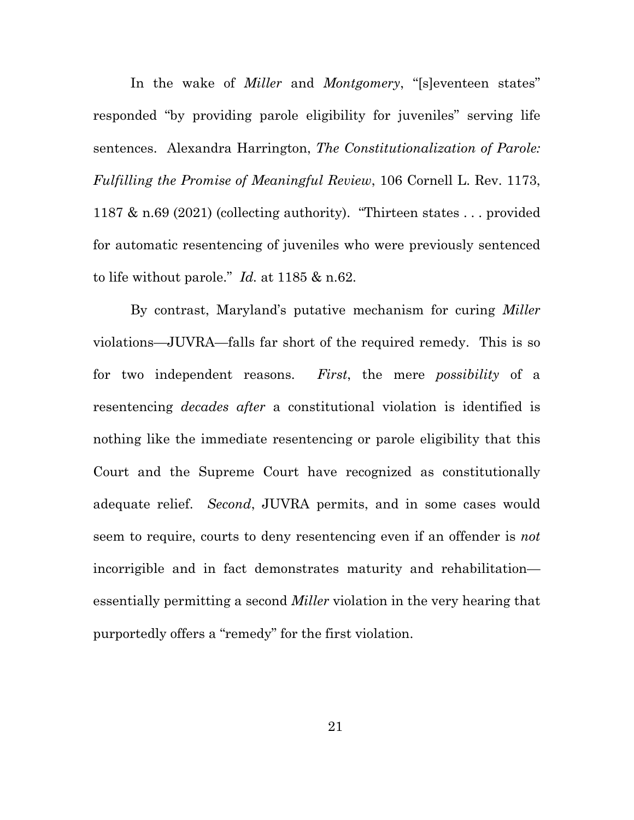In the wake of *Miller* and *Montgomery*, "[s]eventeen states" responded "by providing parole eligibility for juveniles" serving life sentences. Alexandra Harrington, *The Constitutionalization of Parole: Fulfilling the Promise of Meaningful Review*, 106 Cornell L. Rev. 1173, 1187 & n.69 (2021) (collecting authority). "Thirteen states . . . provided for automatic resentencing of juveniles who were previously sentenced to life without parole." *Id.* at 1185 & n.62.

By contrast, Maryland's putative mechanism for curing *Miller*  violations—JUVRA—falls far short of the required remedy. This is so for two independent reasons. *First*, the mere *possibility* of a resentencing *decades after* a constitutional violation is identified is nothing like the immediate resentencing or parole eligibility that this Court and the Supreme Court have recognized as constitutionally adequate relief. *Second*, JUVRA permits, and in some cases would seem to require, courts to deny resentencing even if an offender is *not*  incorrigible and in fact demonstrates maturity and rehabilitation essentially permitting a second *Miller* violation in the very hearing that purportedly offers a "remedy" for the first violation.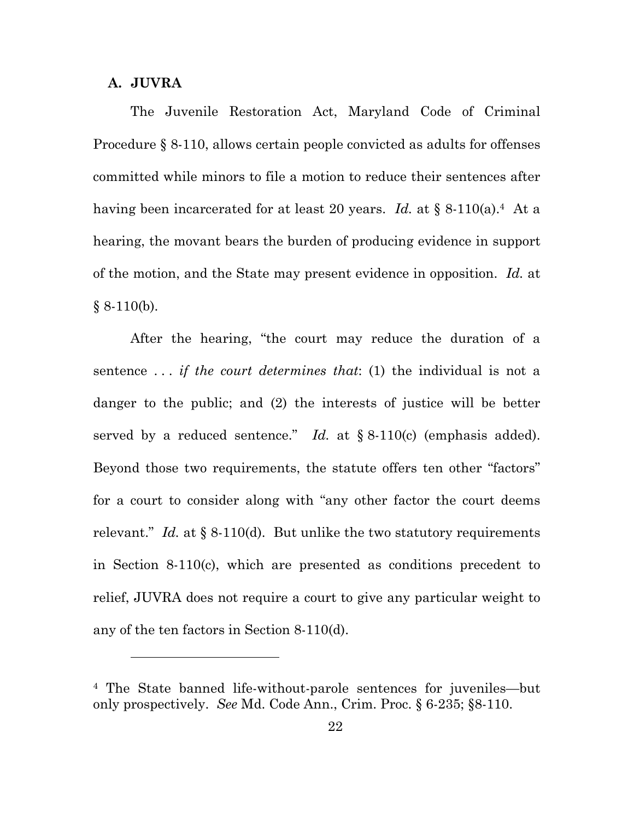#### **A. JUVRA**

The Juvenile Restoration Act, Maryland Code of Criminal Procedure § 8-110, allows certain people convicted as adults for offenses committed while minors to file a motion to reduce their sentences after having been incarcerated for at least 20 years. *Id.* at § 8-110(a).4 At a hearing, the movant bears the burden of producing evidence in support of the motion, and the State may present evidence in opposition. *Id.* at  $§ 8-110(b).$ 

After the hearing, "the court may reduce the duration of a sentence . . . *if the court determines that*: (1) the individual is not a danger to the public; and (2) the interests of justice will be better served by a reduced sentence." *Id.* at § 8-110(c) (emphasis added). Beyond those two requirements, the statute offers ten other "factors" for a court to consider along with "any other factor the court deems relevant." *Id.* at § 8-110(d). But unlike the two statutory requirements in Section 8-110(c), which are presented as conditions precedent to relief, JUVRA does not require a court to give any particular weight to any of the ten factors in Section 8-110(d).

<sup>4</sup> The State banned life-without-parole sentences for juveniles—but only prospectively. *See* Md. Code Ann., Crim. Proc. § 6-235; §8-110.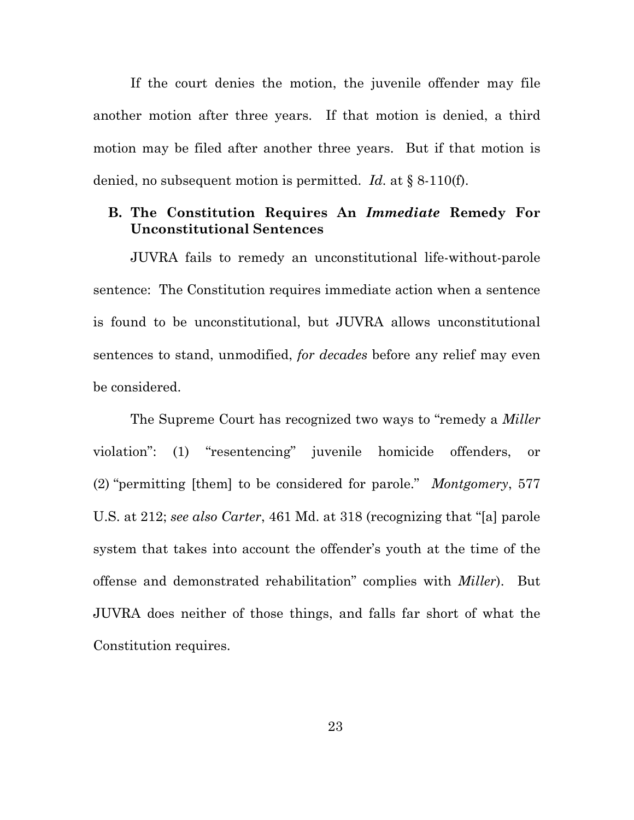If the court denies the motion, the juvenile offender may file another motion after three years. If that motion is denied, a third motion may be filed after another three years. But if that motion is denied, no subsequent motion is permitted. *Id.* at § 8-110(f).

### **B. The Constitution Requires An** *Immediate* **Remedy For Unconstitutional Sentences**

JUVRA fails to remedy an unconstitutional life-without-parole sentence: The Constitution requires immediate action when a sentence is found to be unconstitutional, but JUVRA allows unconstitutional sentences to stand, unmodified, *for decades* before any relief may even be considered.

The Supreme Court has recognized two ways to "remedy a *Miller*  violation": (1) "resentencing" juvenile homicide offenders, or (2) "permitting [them] to be considered for parole." *Montgomery*, 577 U.S. at 212; *see also Carter*, 461 Md. at 318 (recognizing that "[a] parole system that takes into account the offender's youth at the time of the offense and demonstrated rehabilitation" complies with *Miller*). But JUVRA does neither of those things, and falls far short of what the Constitution requires.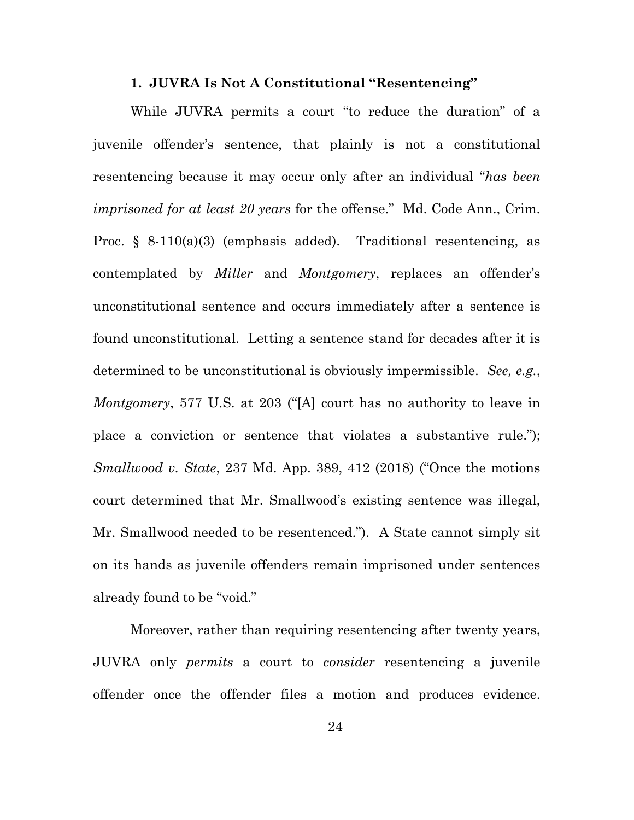## **1. JUVRA Is Not A Constitutional "Resentencing"**

While JUVRA permits a court "to reduce the duration" of a juvenile offender's sentence, that plainly is not a constitutional resentencing because it may occur only after an individual "*has been imprisoned for at least 20 years* for the offense." Md. Code Ann., Crim. Proc. § 8-110(a)(3) (emphasis added). Traditional resentencing, as contemplated by *Miller* and *Montgomery*, replaces an offender's unconstitutional sentence and occurs immediately after a sentence is found unconstitutional. Letting a sentence stand for decades after it is determined to be unconstitutional is obviously impermissible. *See, e.g.*, *Montgomery*, 577 U.S. at 203 ("[A] court has no authority to leave in place a conviction or sentence that violates a substantive rule."); *Smallwood v. State*, 237 Md. App. 389, 412 (2018) ("Once the motions court determined that Mr. Smallwood's existing sentence was illegal, Mr. Smallwood needed to be resentenced."). A State cannot simply sit on its hands as juvenile offenders remain imprisoned under sentences already found to be "void."

Moreover, rather than requiring resentencing after twenty years, JUVRA only *permits* a court to *consider* resentencing a juvenile offender once the offender files a motion and produces evidence.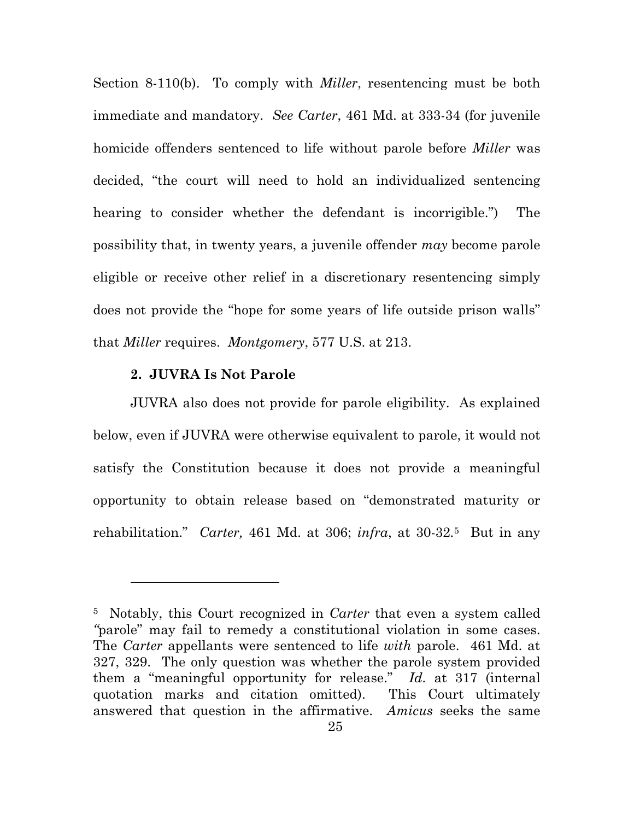Section 8-110(b). To comply with *Miller*, resentencing must be both immediate and mandatory. *See Carter*, 461 Md. at 333-34 (for juvenile homicide offenders sentenced to life without parole before *Miller* was decided, "the court will need to hold an individualized sentencing hearing to consider whether the defendant is incorrigible.") The possibility that, in twenty years, a juvenile offender *may* become parole eligible or receive other relief in a discretionary resentencing simply does not provide the "hope for some years of life outside prison walls" that *Miller* requires. *Montgomery*, 577 U.S. at 213.

### **2. JUVRA Is Not Parole**

 $\overline{a}$ 

JUVRA also does not provide for parole eligibility. As explained below, even if JUVRA were otherwise equivalent to parole, it would not satisfy the Constitution because it does not provide a meaningful opportunity to obtain release based on "demonstrated maturity or rehabilitation." *Carter,* 461 Md. at 306; *infra*, at 30-32*.*<sup>5</sup>But in any

<sup>5</sup> Notably, this Court recognized in *Carter* that even a system called *"*parole" may fail to remedy a constitutional violation in some cases. The *Carter* appellants were sentenced to life *with* parole. 461 Md. at 327, 329. The only question was whether the parole system provided them a "meaningful opportunity for release." *Id.* at 317 (internal quotation marks and citation omitted). This Court ultimately answered that question in the affirmative. *Amicus* seeks the same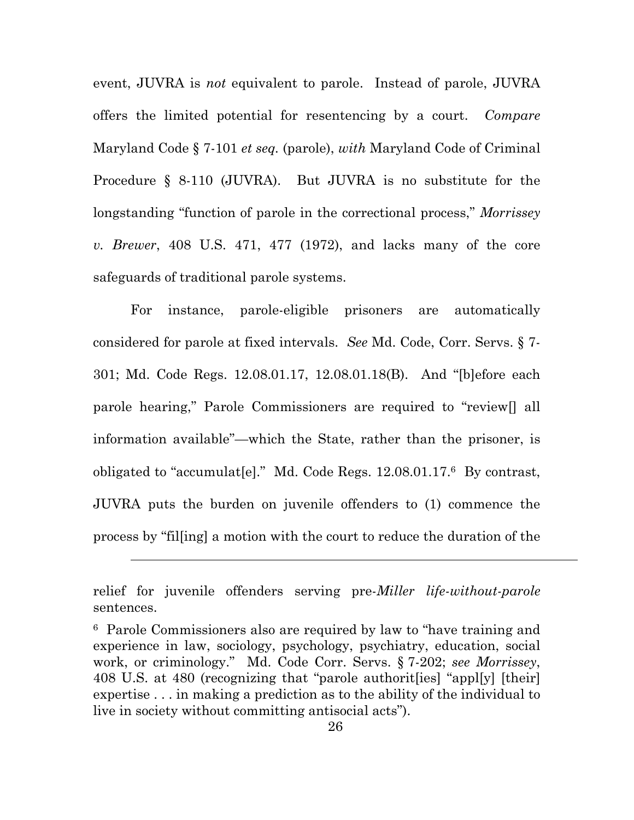event, JUVRA is *not* equivalent to parole. Instead of parole, JUVRA offers the limited potential for resentencing by a court. *Compare*  Maryland Code § 7-101 *et seq.* (parole), *with* Maryland Code of Criminal Procedure § 8-110 (JUVRA). But JUVRA is no substitute for the longstanding "function of parole in the correctional process," *Morrissey v. Brewer*, 408 U.S. 471, 477 (1972), and lacks many of the core safeguards of traditional parole systems.

For instance, parole-eligible prisoners are automatically considered for parole at fixed intervals. *See* Md. Code, Corr. Servs. § 7- 301; Md. Code Regs. 12.08.01.17, 12.08.01.18(B). And "[b]efore each parole hearing," Parole Commissioners are required to "review[] all information available"—which the State, rather than the prisoner, is obligated to "accumulat [e]." Md. Code Regs.  $12.08.01.17$ .<sup>6</sup> By contrast, JUVRA puts the burden on juvenile offenders to (1) commence the process by "fil[ing] a motion with the court to reduce the duration of the

 $\overline{a}$ 

relief for juvenile offenders serving pre-*Miller life-without-parole* sentences.

<sup>6</sup> Parole Commissioners also are required by law to "have training and experience in law, sociology, psychology, psychiatry, education, social work, or criminology." Md. Code Corr. Servs. § 7-202; *see Morrissey*, 408 U.S. at 480 (recognizing that "parole authorit[ies] "appl[y] [their] expertise . . . in making a prediction as to the ability of the individual to live in society without committing antisocial acts").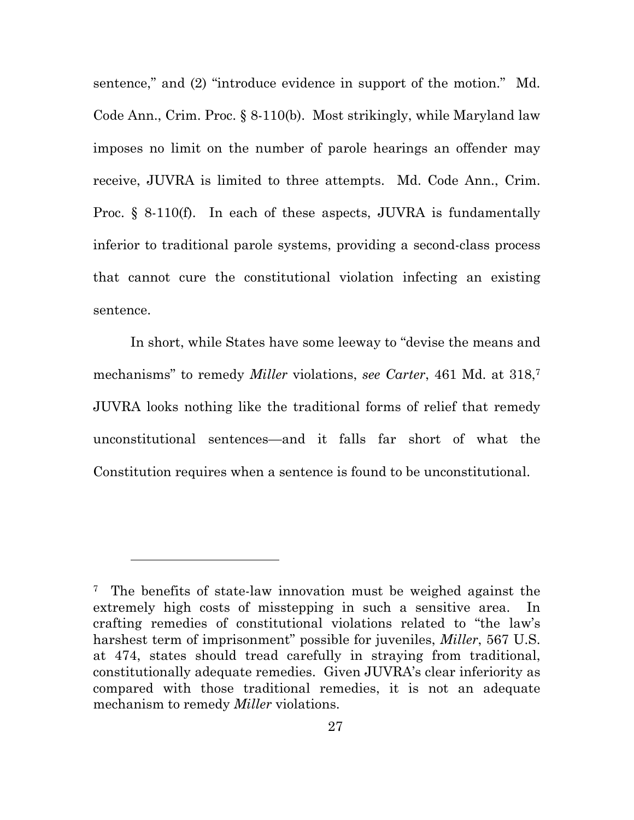sentence," and (2) "introduce evidence in support of the motion." Md. Code Ann., Crim. Proc. § 8-110(b). Most strikingly, while Maryland law imposes no limit on the number of parole hearings an offender may receive, JUVRA is limited to three attempts. Md. Code Ann., Crim. Proc. § 8-110(f). In each of these aspects, JUVRA is fundamentally inferior to traditional parole systems, providing a second-class process that cannot cure the constitutional violation infecting an existing sentence.

In short, while States have some leeway to "devise the means and mechanisms" to remedy *Miller* violations, *see Carter*, 461 Md. at 318,7 JUVRA looks nothing like the traditional forms of relief that remedy unconstitutional sentences—and it falls far short of what the Constitution requires when a sentence is found to be unconstitutional.

 $\overline{a}$ 

<sup>7</sup> The benefits of state-law innovation must be weighed against the extremely high costs of misstepping in such a sensitive area. In crafting remedies of constitutional violations related to "the law's harshest term of imprisonment" possible for juveniles, *Miller*, 567 U.S. at 474, states should tread carefully in straying from traditional, constitutionally adequate remedies. Given JUVRA's clear inferiority as compared with those traditional remedies, it is not an adequate mechanism to remedy *Miller* violations.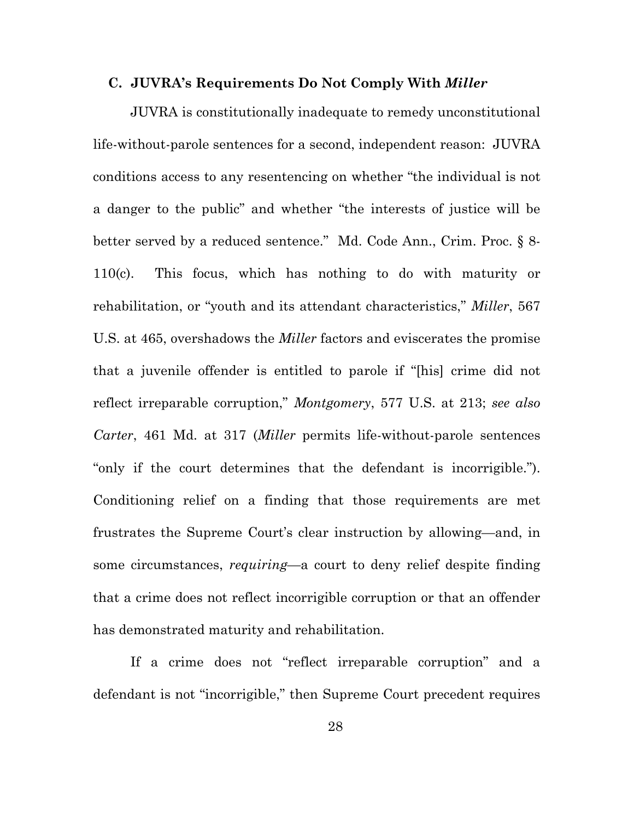#### **C. JUVRA's Requirements Do Not Comply With** *Miller*

JUVRA is constitutionally inadequate to remedy unconstitutional life-without-parole sentences for a second, independent reason: JUVRA conditions access to any resentencing on whether "the individual is not a danger to the public" and whether "the interests of justice will be better served by a reduced sentence." Md. Code Ann., Crim. Proc. § 8- 110(c). This focus, which has nothing to do with maturity or rehabilitation, or "youth and its attendant characteristics," *Miller*, 567 U.S. at 465, overshadows the *Miller* factors and eviscerates the promise that a juvenile offender is entitled to parole if "[his] crime did not reflect irreparable corruption," *Montgomery*, 577 U.S. at 213; *see also Carter*, 461 Md. at 317 (*Miller* permits life-without-parole sentences "only if the court determines that the defendant is incorrigible."). Conditioning relief on a finding that those requirements are met frustrates the Supreme Court's clear instruction by allowing—and, in some circumstances, *requiring*—a court to deny relief despite finding that a crime does not reflect incorrigible corruption or that an offender has demonstrated maturity and rehabilitation.

If a crime does not "reflect irreparable corruption" and a defendant is not "incorrigible," then Supreme Court precedent requires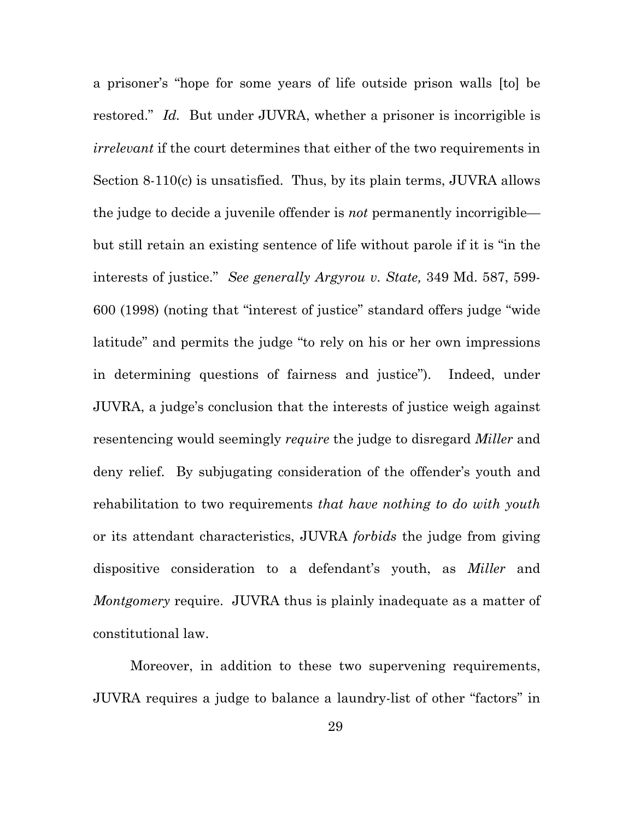a prisoner's "hope for some years of life outside prison walls [to] be restored." *Id.* But under JUVRA, whether a prisoner is incorrigible is *irrelevant* if the court determines that either of the two requirements in Section 8-110(c) is unsatisfied. Thus, by its plain terms, JUVRA allows the judge to decide a juvenile offender is *not* permanently incorrigible but still retain an existing sentence of life without parole if it is "in the interests of justice." *See generally Argyrou v. State,* 349 Md. 587, 599- 600 (1998) (noting that "interest of justice" standard offers judge "wide latitude" and permits the judge "to rely on his or her own impressions in determining questions of fairness and justice"). Indeed, under JUVRA, a judge's conclusion that the interests of justice weigh against resentencing would seemingly *require* the judge to disregard *Miller* and deny relief. By subjugating consideration of the offender's youth and rehabilitation to two requirements *that have nothing to do with youth* or its attendant characteristics, JUVRA *forbids* the judge from giving dispositive consideration to a defendant's youth, as *Miller* and *Montgomery* require. JUVRA thus is plainly inadequate as a matter of constitutional law.

Moreover, in addition to these two supervening requirements, JUVRA requires a judge to balance a laundry-list of other "factors" in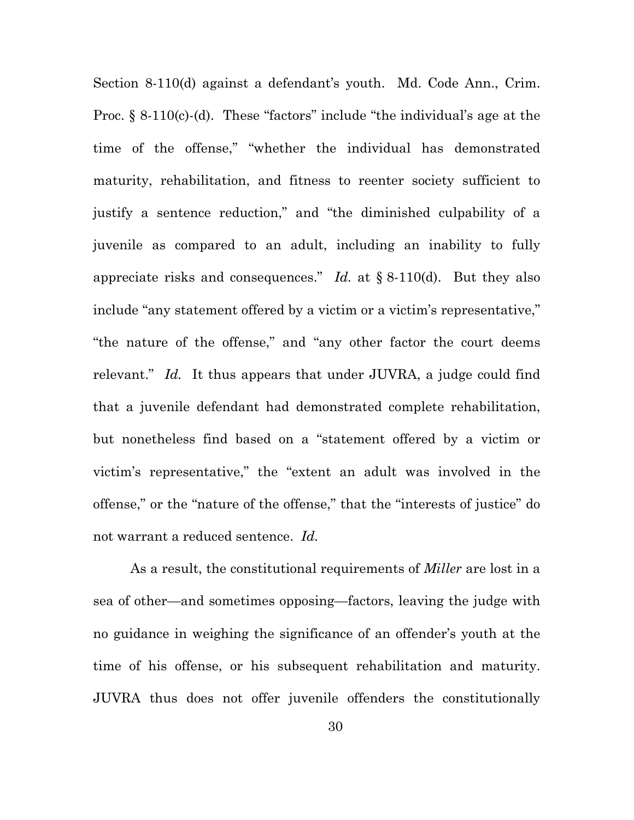Section 8-110(d) against a defendant's youth. Md. Code Ann., Crim. Proc. § 8-110(c)-(d). These "factors" include "the individual's age at the time of the offense," "whether the individual has demonstrated maturity, rehabilitation, and fitness to reenter society sufficient to justify a sentence reduction," and "the diminished culpability of a juvenile as compared to an adult, including an inability to fully appreciate risks and consequences." *Id.* at § 8-110(d). But they also include "any statement offered by a victim or a victim's representative," "the nature of the offense," and "any other factor the court deems relevant." *Id.* It thus appears that under JUVRA, a judge could find that a juvenile defendant had demonstrated complete rehabilitation, but nonetheless find based on a "statement offered by a victim or victim's representative," the "extent an adult was involved in the offense," or the "nature of the offense," that the "interests of justice" do not warrant a reduced sentence. *Id.* 

As a result, the constitutional requirements of *Miller* are lost in a sea of other—and sometimes opposing—factors, leaving the judge with no guidance in weighing the significance of an offender's youth at the time of his offense, or his subsequent rehabilitation and maturity. JUVRA thus does not offer juvenile offenders the constitutionally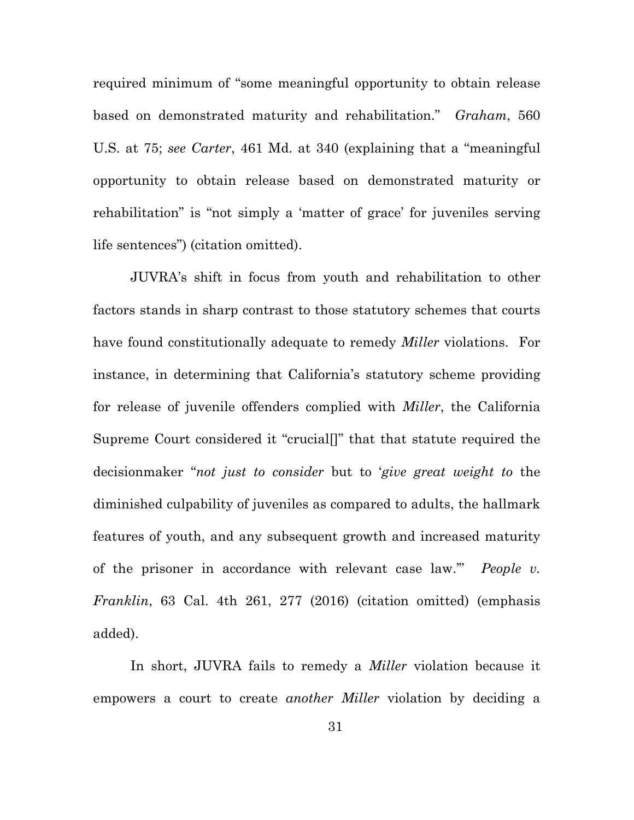required minimum of "some meaningful opportunity to obtain release based on demonstrated maturity and rehabilitation." *Graham*, 560 U.S. at 75; *see Carter*, 461 Md. at 340 (explaining that a "meaningful opportunity to obtain release based on demonstrated maturity or rehabilitation" is "not simply a 'matter of grace' for juveniles serving life sentences") (citation omitted).

JUVRA's shift in focus from youth and rehabilitation to other factors stands in sharp contrast to those statutory schemes that courts have found constitutionally adequate to remedy *Miller* violations. For instance, in determining that California's statutory scheme providing for release of juvenile offenders complied with *Miller*, the California Supreme Court considered it "crucial[]" that that statute required the decisionmaker "*not just to consider* but to '*give great weight to* the diminished culpability of juveniles as compared to adults, the hallmark features of youth, and any subsequent growth and increased maturity of the prisoner in accordance with relevant case law.'" *People v. Franklin*, 63 Cal. 4th 261, 277 (2016) (citation omitted) (emphasis added).

In short, JUVRA fails to remedy a *Miller* violation because it empowers a court to create *another Miller* violation by deciding a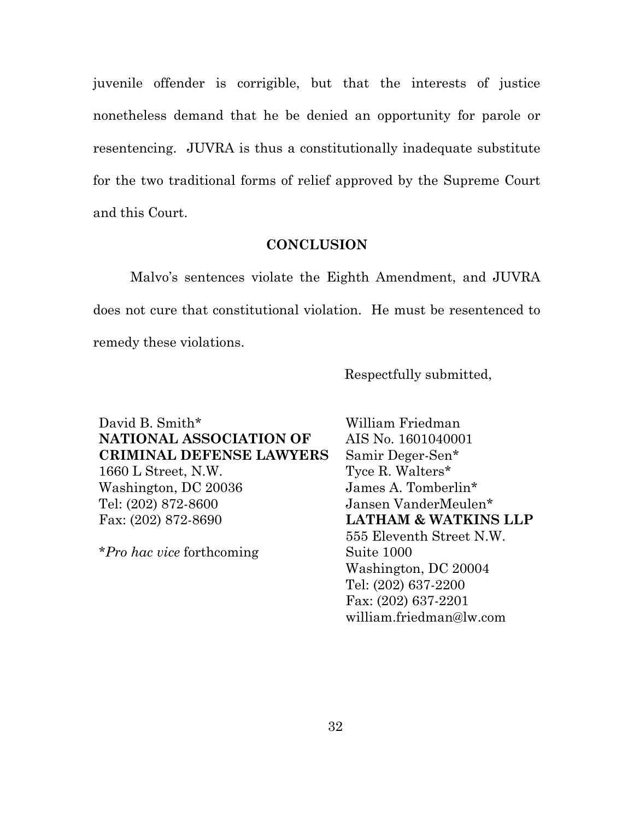juvenile offender is corrigible, but that the interests of justice nonetheless demand that he be denied an opportunity for parole or resentencing. JUVRA is thus a constitutionally inadequate substitute for the two traditional forms of relief approved by the Supreme Court and this Court.

#### **CONCLUSION**

Malvo's sentences violate the Eighth Amendment, and JUVRA does not cure that constitutional violation. He must be resentenced to remedy these violations.

Respectfully submitted,

David B. Smith\* **NATIONAL ASSOCIATION OF CRIMINAL DEFENSE LAWYERS**  1660 L Street, N.W. Washington, DC 20036 Tel: (202) 872-8600 Fax: (202) 872-8690

\**Pro hac vice* forthcoming

William Friedman AIS No. 1601040001 Samir Deger-Sen\* Tyce R. Walters\* James A. Tomberlin\* Jansen VanderMeulen\* **LATHAM & WATKINS LLP**  555 Eleventh Street N.W. Suite 1000 Washington, DC 20004 Tel: (202) 637-2200 Fax: (202) 637-2201 william.friedman@lw.com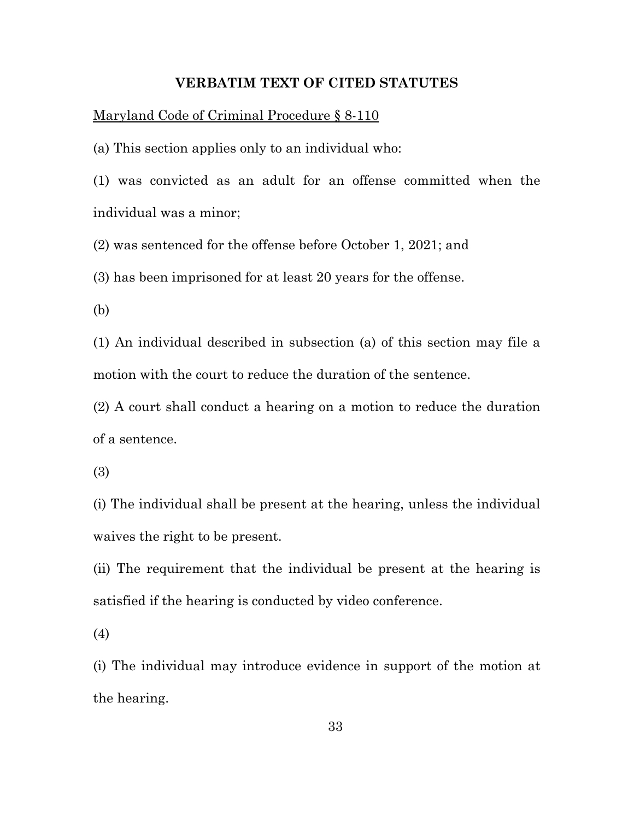#### **VERBATIM TEXT OF CITED STATUTES**

Maryland Code of Criminal Procedure § 8-110

(a) This section applies only to an individual who:

(1) was convicted as an adult for an offense committed when the individual was a minor;

(2) was sentenced for the offense before October 1, 2021; and

(3) has been imprisoned for at least 20 years for the offense.

(b)

(1) An individual described in subsection (a) of this section may file a motion with the court to reduce the duration of the sentence.

(2) A court shall conduct a hearing on a motion to reduce the duration of a sentence.

(3)

(i) The individual shall be present at the hearing, unless the individual waives the right to be present.

(ii) The requirement that the individual be present at the hearing is satisfied if the hearing is conducted by video conference.

(4)

(i) The individual may introduce evidence in support of the motion at the hearing.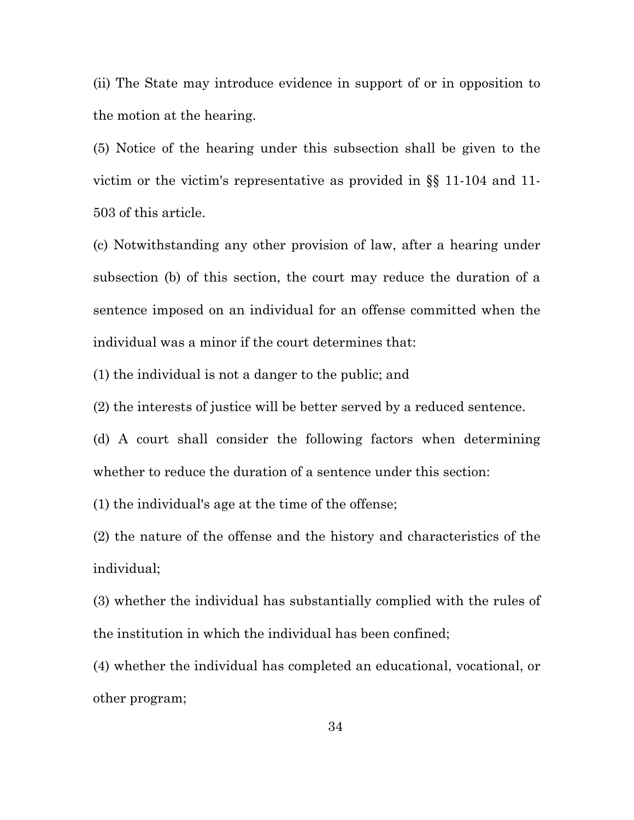(ii) The State may introduce evidence in support of or in opposition to the motion at the hearing.

(5) Notice of the hearing under this subsection shall be given to the victim or the victim's representative as provided in §§ 11-104 and 11- 503 of this article.

(c) Notwithstanding any other provision of law, after a hearing under subsection (b) of this section, the court may reduce the duration of a sentence imposed on an individual for an offense committed when the individual was a minor if the court determines that:

(1) the individual is not a danger to the public; and

(2) the interests of justice will be better served by a reduced sentence.

(d) A court shall consider the following factors when determining whether to reduce the duration of a sentence under this section:

(1) the individual's age at the time of the offense;

(2) the nature of the offense and the history and characteristics of the individual;

(3) whether the individual has substantially complied with the rules of the institution in which the individual has been confined;

(4) whether the individual has completed an educational, vocational, or other program;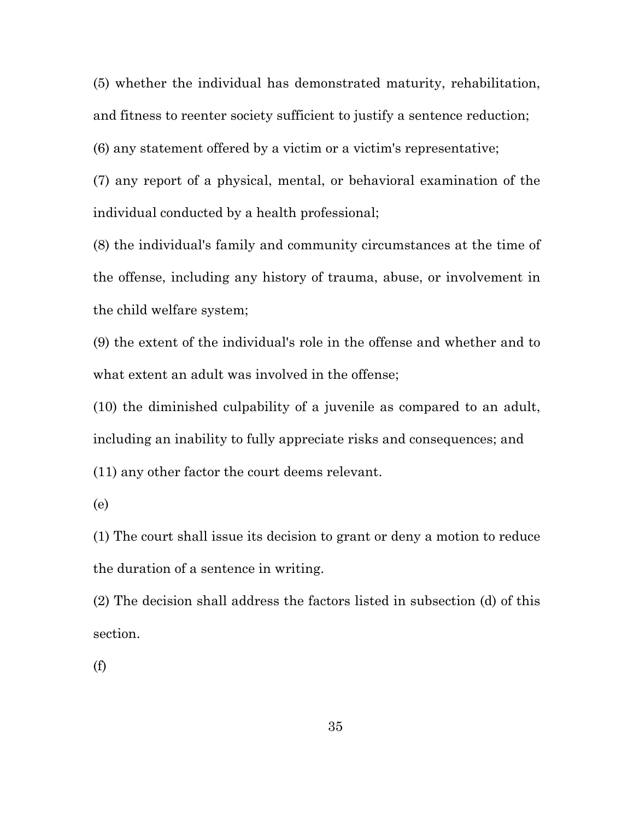(5) whether the individual has demonstrated maturity, rehabilitation, and fitness to reenter society sufficient to justify a sentence reduction;

(6) any statement offered by a victim or a victim's representative;

(7) any report of a physical, mental, or behavioral examination of the individual conducted by a health professional;

(8) the individual's family and community circumstances at the time of the offense, including any history of trauma, abuse, or involvement in the child welfare system;

(9) the extent of the individual's role in the offense and whether and to what extent an adult was involved in the offense;

(10) the diminished culpability of a juvenile as compared to an adult, including an inability to fully appreciate risks and consequences; and (11) any other factor the court deems relevant.

(e)

(1) The court shall issue its decision to grant or deny a motion to reduce the duration of a sentence in writing.

(2) The decision shall address the factors listed in subsection (d) of this section.

(f)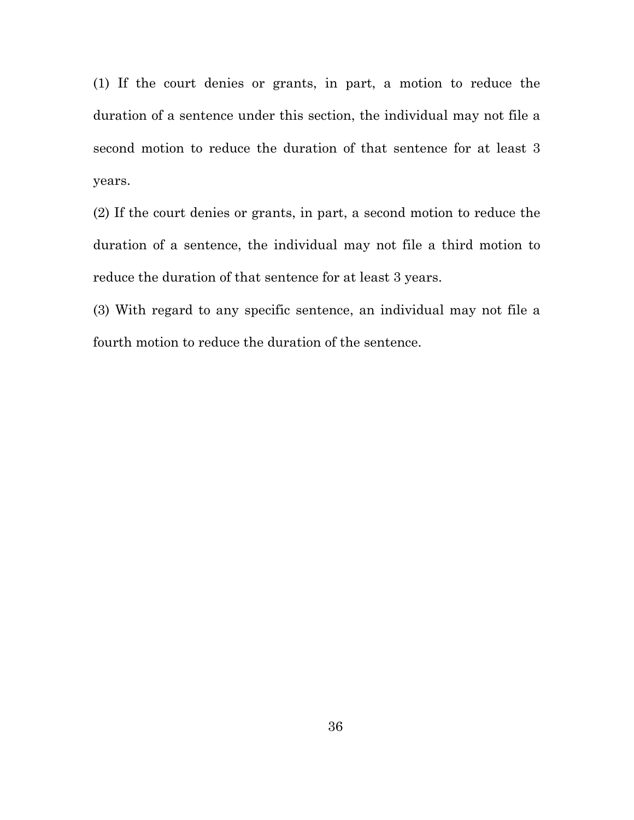(1) If the court denies or grants, in part, a motion to reduce the duration of a sentence under this section, the individual may not file a second motion to reduce the duration of that sentence for at least 3 years.

(2) If the court denies or grants, in part, a second motion to reduce the duration of a sentence, the individual may not file a third motion to reduce the duration of that sentence for at least 3 years.

(3) With regard to any specific sentence, an individual may not file a fourth motion to reduce the duration of the sentence.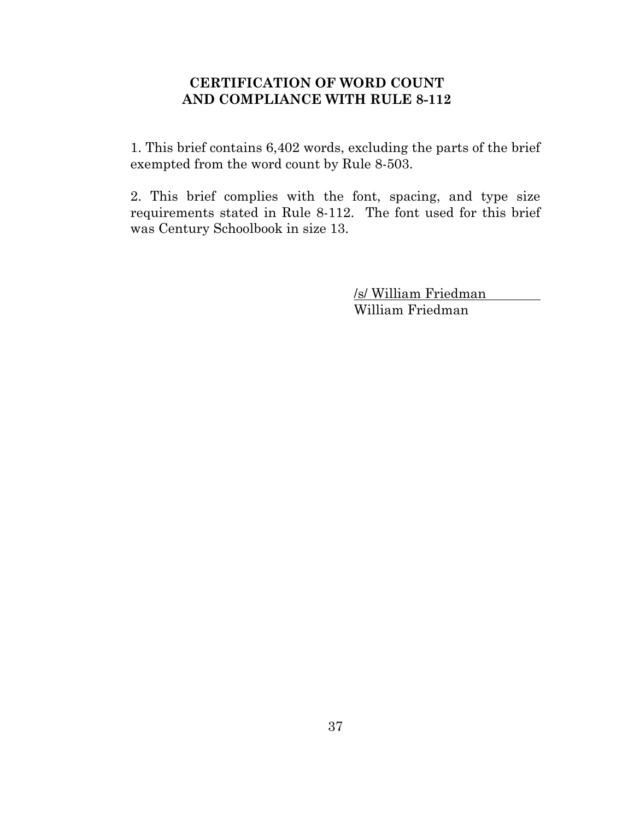# **CERTIFICATION OF WORD COUNT AND COMPLIANCE WITH RULE 8-112**

1. This brief contains 6,402 words, excluding the parts of the brief exempted from the word count by Rule 8-503.

2. This brief complies with the font, spacing, and type size requirements stated in Rule 8-112. The font used for this brief was Century Schoolbook in size 13.

> /s/ William Friedman William Friedman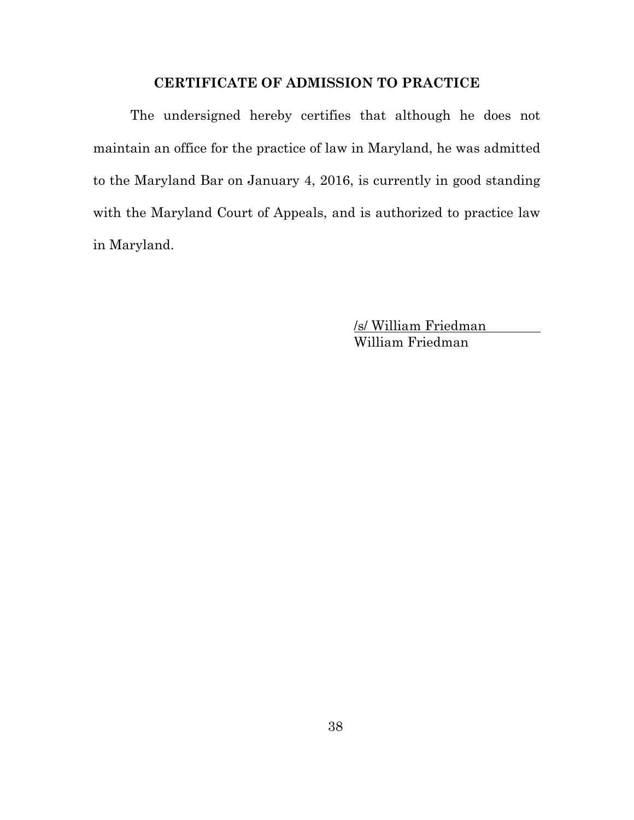# **CERTIFICATE OF ADMISSION TO PRACTICE**

The undersigned hereby certifies that although he does not maintain an office for the practice of law in Maryland, he was admitted to the Maryland Bar on January 4, 2016, is currently in good standing with the Maryland Court of Appeals, and is authorized to practice law in Maryland.

> /s/ William Friedman William Friedman